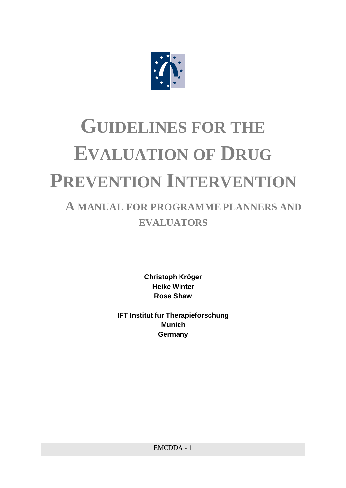

# **GUIDELINES FOR THE EVALUATION OF DRUG PREVENTION INTERVENTION**

# **A MANUAL FOR PROGRAMME PLANNERS AND EVALUATORS**

**Christoph Kröger Heike Winter Rose Shaw**

**IFT Institut fur Therapieforschung Munich Germany**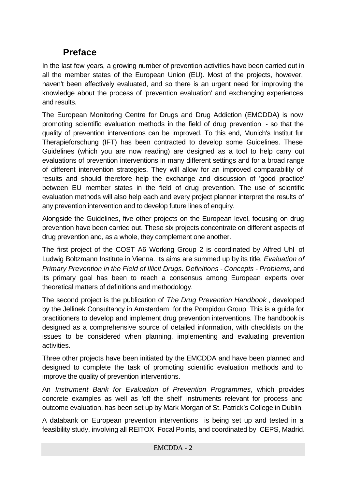# **Preface**

In the last few years, a growing number of prevention activities have been carried out in all the member states of the European Union (EU). Most of the projects, however, haven't been effectively evaluated, and so there is an urgent need for improving the knowledge about the process of 'prevention evaluation' and exchanging experiences and results.

The European Monitoring Centre for Drugs and Drug Addiction (EMCDDA) is now promoting scientific evaluation methods in the field of drug prevention - so that the quality of prevention interventions can be improved. To this end, Munich's Institut fur Therapieforschung (IFT) has been contracted to develop some Guidelines. These Guidelines (which you are now reading) are designed as a tool to help carry out evaluations of prevention interventions in many different settings and for a broad range of different intervention strategies. They will allow for an improved comparability of results and should therefore help the exchange and discussion of 'good practice' between EU member states in the field of drug prevention. The use of scientific evaluation methods will also help each and every project planner interpret the results of any prevention intervention and to develop future lines of enquiry.

Alongside the Guidelines, five other projects on the European level, focusing on drug prevention have been carried out. These six projects concentrate on different aspects of drug prevention and, as a whole, they complement one another.

The first project of the COST A6 Working Group 2 is coordinated by Alfred Uhl of Ludwig Boltzmann Institute in Vienna. Its aims are summed up by its title, *Evaluation of Primary Prevention in the Field of Illicit Drugs. Definitions - Concepts - Problems*, and its primary goal has been to reach a consensus among European experts over theoretical matters of definitions and methodology.

The second project is the publication of *The Drug Prevention Handbook* , developed by the Jellinek Consultancy in Amsterdam for the Pompidou Group. This is a guide for practitioners to develop and implement drug prevention interventions. The handbook is designed as a comprehensive source of detailed information, with checklists on the issues to be considered when planning, implementing and evaluating prevention activities.

Three other projects have been initiated by the EMCDDA and have been planned and designed to complete the task of promoting scientific evaluation methods and to improve the quality of prevention interventions.

An *Instrument Bank for Evaluation of Prevention Programmes*, which provides concrete examples as well as 'off the shelf' instruments relevant for process and outcome evaluation, has been set up by Mark Morgan of St. Patrick's College in Dublin.

A databank on European prevention interventions is being set up and tested in a feasibility study, involving all REITOX Focal Points, and coordinated by CEPS, Madrid.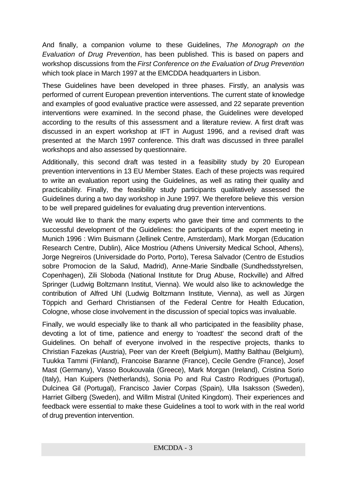And finally, a companion volume to these Guidelines, *The Monograph on the Evaluation of Drug Prevention*, has been published. This is based on papers and workshop discussions from the *First Conference on the Evaluation of Drug Prevention* which took place in March 1997 at the EMCDDA headquarters in Lisbon.

These Guidelines have been developed in three phases. Firstly, an analysis was performed of current European prevention interventions. The current state of knowledge and examples of good evaluative practice were assessed, and 22 separate prevention interventions were examined. In the second phase, the Guidelines were developed according to the results of this assessment and a literature review. A first draft was discussed in an expert workshop at IFT in August 1996, and a revised draft was presented at the March 1997 conference. This draft was discussed in three parallel workshops and also assessed by questionnaire.

Additionally, this second draft was tested in a feasibility study by 20 European prevention interventions in 13 EU Member States. Each of these projects was required to write an evaluation report using the Guidelines, as well as rating their quality and practicability. Finally, the feasibility study participants qualitatively assessed the Guidelines during a two day workshop in June 1997. We therefore believe this version to be well prepared guidelines for evaluating drug prevention interventions.

We would like to thank the many experts who gave their time and comments to the successful development of the Guidelines: the participants of the expert meeting in Munich 1996 : Wim Buismann (Jellinek Centre, Amsterdam), Mark Morgan (Education Research Centre, Dublin), Alice Mostriou (Athens University Medical School, Athens), Jorge Negreiros (Universidade do Porto, Porto), Teresa Salvador (Centro de Estudios sobre Promocion de la Salud, Madrid), Anne-Marie Sindballe (Sundhedsstyrelsen, Copenhagen), Zili Sloboda (National Institute for Drug Abuse, Rockville) and Alfred Springer (Ludwig Boltzmann Institut, Vienna). We would also like to acknowledge the contribution of Alfred Uhl (Ludwig Boltzmann Institute, Vienna), as well as Jürgen Töppich and Gerhard Christiansen of the Federal Centre for Health Education, Cologne, whose close involvement in the discussion of special topics was invaluable.

Finally, we would especially like to thank all who participated in the feasibility phase, devoting a lot of time, patience and energy to 'roadtest' the second draft of the Guidelines. On behalf of everyone involved in the respective projects, thanks to Christian Fazekas (Austria), Peer van der Kreeft (Belgium), Matthy Balthau (Belgium), Tuukka Tammi (Finland), Francoise Baranne (France), Cecile Gendre (France), Josef Mast (Germany), Vasso Boukouvala (Greece), Mark Morgan (Ireland), Cristina Sorio (Italy), Han Kuipers (Netherlands), Sonia Po and Rui Castro Rodrigues (Portugal), Dulcinea Gil (Portugal), Francisco Javier Corpas (Spain), Ulla Isaksson (Sweden), Harriet Gilberg (Sweden), and Willm Mistral (United Kingdom). Their experiences and feedback were essential to make these Guidelines a tool to work with in the real world of drug prevention intervention.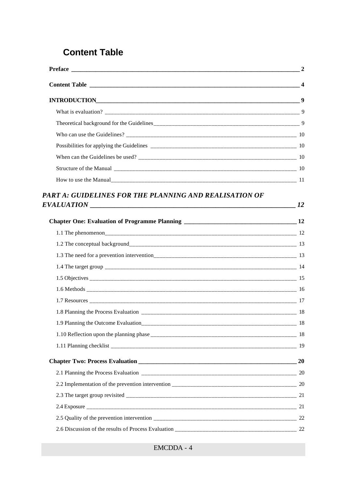# **Content Table**

| Preface 2                                              |  |
|--------------------------------------------------------|--|
|                                                        |  |
| INTRODUCTION 9                                         |  |
|                                                        |  |
|                                                        |  |
|                                                        |  |
|                                                        |  |
|                                                        |  |
|                                                        |  |
|                                                        |  |
| PART A: GUIDELINES FOR THE PLANNING AND REALISATION OF |  |
|                                                        |  |
|                                                        |  |
|                                                        |  |
|                                                        |  |
|                                                        |  |
|                                                        |  |
|                                                        |  |
|                                                        |  |
|                                                        |  |
|                                                        |  |
|                                                        |  |
|                                                        |  |
|                                                        |  |
|                                                        |  |
|                                                        |  |
|                                                        |  |
|                                                        |  |
|                                                        |  |
|                                                        |  |
|                                                        |  |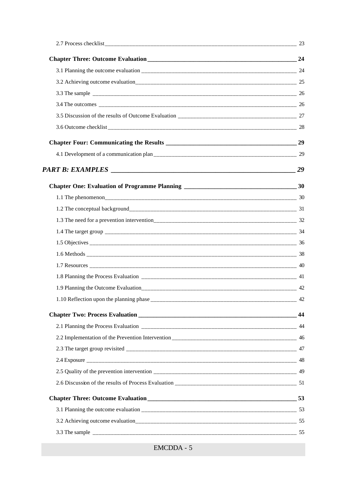| PART B: EXAMPLES 29                      |     |
|------------------------------------------|-----|
|                                          |     |
|                                          |     |
|                                          |     |
|                                          |     |
|                                          |     |
|                                          |     |
|                                          |     |
|                                          |     |
|                                          |     |
|                                          |     |
| 1.10 Reflection upon the planning phase_ | 42  |
|                                          | -44 |
|                                          |     |
|                                          |     |
|                                          |     |
|                                          |     |
|                                          |     |
|                                          |     |
|                                          |     |
|                                          |     |
|                                          |     |
|                                          |     |

EMCDDA - 5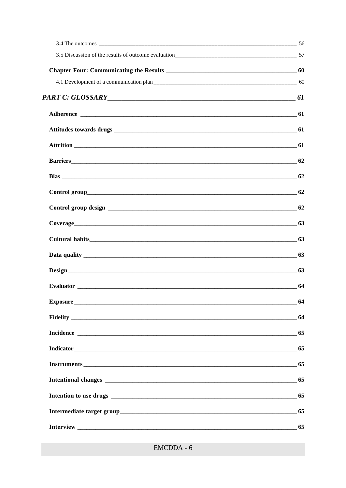| Barriers 62 |    |
|-------------|----|
|             |    |
|             |    |
|             |    |
| Coverage 63 |    |
|             |    |
|             |    |
|             |    |
|             | 64 |
|             | 64 |
|             | 64 |
|             | 65 |
|             | 65 |
|             | 65 |
|             |    |
|             | 65 |
|             | 65 |
|             |    |
|             |    |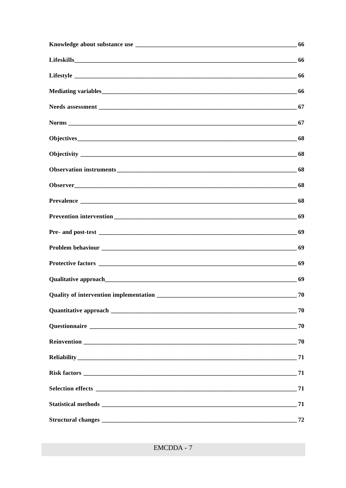| 66 |
|----|
|    |
|    |
|    |
|    |
|    |
|    |
|    |
|    |
| 68 |
|    |
|    |
|    |
| 69 |
|    |
|    |
|    |
| 70 |
|    |
|    |
|    |
|    |
|    |
| 71 |
|    |
| 72 |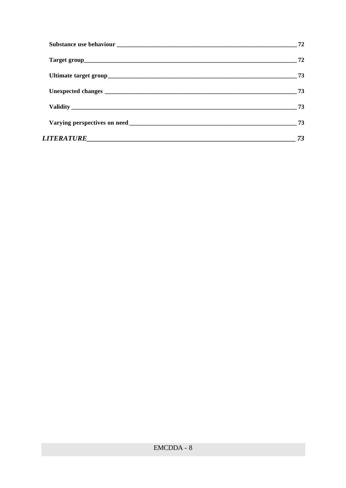|            | 72 |
|------------|----|
|            | 72 |
|            | 73 |
|            | 73 |
|            |    |
|            | 73 |
| LITERATURE | 73 |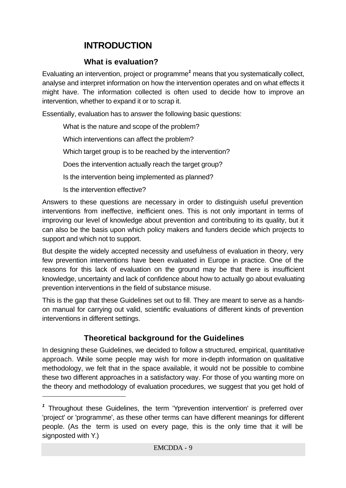# **INTRODUCTION**

#### **What is evaluation?**

Evaluating an intervention, project or programme*<sup>1</sup>* means that you systematically collect, analyse and interpret information on how the intervention operates and on what effects it might have. The information collected is often used to decide how to improve an intervention, whether to expand it or to scrap it.

Essentially, evaluation has to answer the following basic questions:

What is the nature and scope of the problem?

Which interventions can affect the problem?

Which target group is to be reached by the intervention?

Does the intervention actually reach the target group?

Is the intervention being implemented as planned?

Is the intervention effective?

j

Answers to these questions are necessary in order to distinguish useful prevention interventions from ineffective, inefficient ones. This is not only important in terms of improving our level of knowledge about prevention and contributing to its quality, but it can also be the basis upon which policy makers and funders decide which projects to support and which not to support.

But despite the widely accepted necessity and usefulness of evaluation in theory, very few prevention interventions have been evaluated in Europe in practice. One of the reasons for this lack of evaluation on the ground may be that there is insufficient knowledge, uncertainty and lack of confidence about how to actually go about evaluating prevention interventions in the field of substance misuse.

This is the gap that these Guidelines set out to fill. They are meant to serve as a handson manual for carrying out valid, scientific evaluations of different kinds of prevention interventions in different settings.

# **Theoretical background for the Guidelines**

In designing these Guidelines, we decided to follow a structured, empirical, quantitative approach. While some people may wish for more in-depth information on qualitative methodology, we felt that in the space available, it would not be possible to combine these two different approaches in a satisfactory way. For those of you wanting more on the theory and methodology of evaluation procedures, we suggest that you get hold of

*<sup>1</sup>* Throughout these Guidelines, the term 'Yprevention intervention' is preferred over 'project' or 'programme', as these other terms can have different meanings for different people. (As the term is used on every page, this is the only time that it will be signposted with Y.)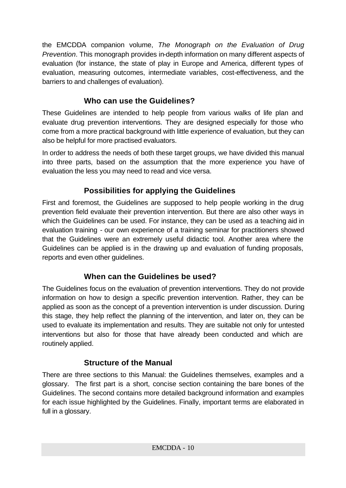the EMCDDA companion volume, *The Monograph on the Evaluation of Drug Prevention*. This monograph provides in-depth information on many different aspects of evaluation (for instance, the state of play in Europe and America, different types of evaluation, measuring outcomes, intermediate variables, cost-effectiveness, and the barriers to and challenges of evaluation).

# **Who can use the Guidelines?**

These Guidelines are intended to help people from various walks of life plan and evaluate drug prevention interventions. They are designed especially for those who come from a more practical background with little experience of evaluation, but they can also be helpful for more practised evaluators.

In order to address the needs of both these target groups, we have divided this manual into three parts, based on the assumption that the more experience you have of evaluation the less you may need to read and vice versa.

# **Possibilities for applying the Guidelines**

First and foremost, the Guidelines are supposed to help people working in the drug prevention field evaluate their prevention intervention. But there are also other ways in which the Guidelines can be used. For instance, they can be used as a teaching aid in evaluation training - our own experience of a training seminar for practitioners showed that the Guidelines were an extremely useful didactic tool. Another area where the Guidelines can be applied is in the drawing up and evaluation of funding proposals, reports and even other guidelines.

# **When can the Guidelines be used?**

The Guidelines focus on the evaluation of prevention interventions. They do not provide information on how to design a specific prevention intervention. Rather, they can be applied as soon as the concept of a prevention intervention is under discussion. During this stage, they help reflect the planning of the intervention, and later on, they can be used to evaluate its implementation and results. They are suitable not only for untested interventions but also for those that have already been conducted and which are routinely applied.

# **Structure of the Manual**

There are three sections to this Manual: the Guidelines themselves, examples and a glossary. The first part is a short, concise section containing the bare bones of the Guidelines. The second contains more detailed background information and examples for each issue highlighted by the Guidelines. Finally, important terms are elaborated in full in a glossary.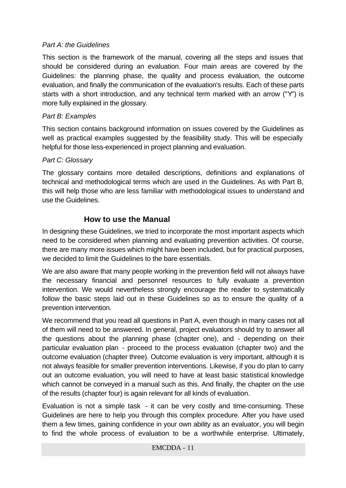#### *Part A: the Guidelines*

This section is the framework of the manual, covering all the steps and issues that should be considered during an evaluation. Four main areas are covered by the Guidelines: the planning phase, the quality and process evaluation, the outcome evaluation, and finally the communication of the evaluation's results. Each of these parts starts with a short introduction, and any technical term marked with an arrow ("Y") is more fully explained in the glossary.

#### *Part B: Examples*

This section contains background information on issues covered by the Guidelines as well as practical examples suggested by the feasibility study. This will be especially helpful for those less-experienced in project planning and evaluation.

#### *Part C: Glossary*

The glossary contains more detailed descriptions, definitions and explanations of technical and methodological terms which are used in the Guidelines. As with Part B, this will help those who are less familiar with methodological issues to understand and use the Guidelines.

#### **How to use the Manual**

In designing these Guidelines, we tried to incorporate the most important aspects which need to be considered when planning and evaluating prevention activities. Of course, there are many more issues which might have been included, but for practical purposes, we decided to limit the Guidelines to the bare essentials.

We are also aware that many people working in the prevention field will not always have the necessary financial and personnel resources to fully evaluate a prevention intervention. We would nevertheless strongly encourage the reader to systematically follow the basic steps laid out in these Guidelines so as to ensure the quality of a prevention intervention.

We recommend that you read all questions in Part A, even though in many cases not all of them will need to be answered. In general, project evaluators should try to answer all the questions about the planning phase (chapter one), and - depending on their particular evaluation plan - proceed to the process evaluation (chapter two) and the outcome evaluation (chapter three). Outcome evaluation is very important, although it is not always feasible for smaller prevention interventions. Likewise, if you do plan to carry out an outcome evaluation, you will need to have at least basic statistical knowledge which cannot be conveyed in a manual such as this. And finally, the chapter on the use of the results (chapter four) is again relevant for all kinds of evaluation.

Evaluation is not a simple task - it can be very costly and time-consuming. These Guidelines are here to help you through this complex procedure. After you have used them a few times, gaining confidence in your own ability as an evaluator, you will begin to find the whole process of evaluation to be a worthwhile enterprise. Ultimately,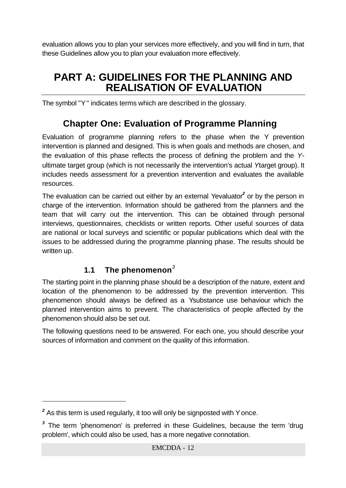evaluation allows you to plan your services more effectively, and you will find in turn, that these Guidelines allow you to plan your evaluation more effectively.

# **PART A: GUIDELINES FOR THE PLANNING AND REALISATION OF EVALUATION**

The symbol "Y " indicates terms which are described in the glossary.

# **Chapter One: Evaluation of Programme Planning**

Evaluation of programme planning refers to the phase when the Y prevention intervention is planned and designed. This is when goals and methods are chosen, and the evaluation of this phase reflects the process of defining the problem and the *Y*ultimate target group (which is not necessarily the intervention's actual *Y*target group). It includes needs assessment for a prevention intervention and evaluates the available resources.

The evaluation can be carried out either by an external Yevaluator*<sup>2</sup>* or by the person in charge of the intervention. Information should be gathered from the planners and the team that will carry out the intervention. This can be obtained through personal interviews, questionnaires, checklists or written reports. Other useful sources of data are national or local surveys and scientific or popular publications which deal with the issues to be addressed during the programme planning phase. The results should be written up.

# **1.1 The phenomenon***<sup>3</sup>*

The starting point in the planning phase should be a description of the nature, extent and location of the phenomenon to be addressed by the prevention intervention. This phenomenon should always be defined as a Ysubstance use behaviour which the planned intervention aims to prevent. The characteristics of people affected by the phenomenon should also be set out.

The following questions need to be answered. For each one, you should describe your sources of information and comment on the quality of this information.

j

<sup>&</sup>lt;sup>2</sup> As this term is used regularly, it too will only be signposted with Y once.

<sup>&</sup>lt;sup>3</sup> The term 'phenomenon' is preferred in these Guidelines, because the term 'drug problem', which could also be used, has a more negative connotation.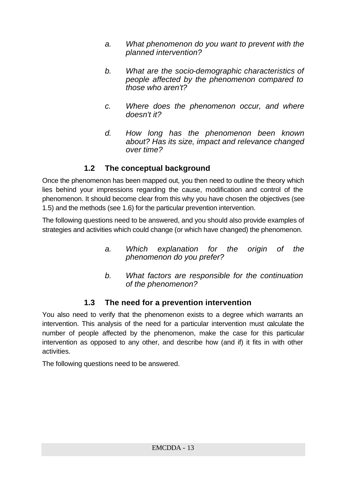- *a. What phenomenon do you want to prevent with the planned intervention?*
- *b. What are the socio-demographic characteristics of people affected by the phenomenon compared to those who aren't?*
- *c. Where does the phenomenon occur, and where doesn't it?*
- *d. How long has the phenomenon been known about? Has its size, impact and relevance changed over time?*

# **1.2 The conceptual background**

Once the phenomenon has been mapped out, you then need to outline the theory which lies behind your impressions regarding the cause, modification and control of the phenomenon. It should become clear from this why you have chosen the objectives (see 1.5) and the methods (see 1.6) for the particular prevention intervention.

The following questions need to be answered, and you should also provide examples of strategies and activities which could change (or which have changed) the phenomenon.

- *a. Which explanation for the origin of the phenomenon do you prefer?*
- *b. What factors are responsible for the continuation of the phenomenon?*

# **1.3 The need for a prevention intervention**

You also need to verify that the phenomenon exists to a degree which warrants an intervention. This analysis of the need for a particular intervention must calculate the number of people affected by the phenomenon, make the case for this particular intervention as opposed to any other, and describe how (and if) it fits in with other activities.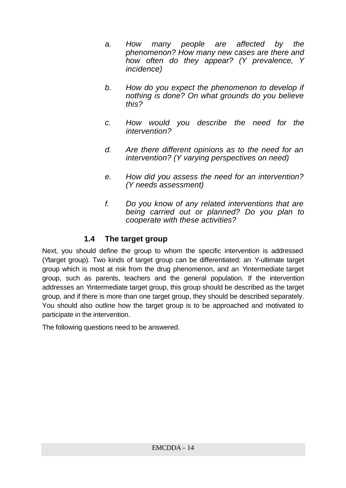- *a. How many people are affected by the phenomenon? How many new cases are there and how often do they appear? (Y prevalence, Y incidence)*
- *b. How do you expect the phenomenon to develop if nothing is done? On what grounds do you believe this?*
- *c. How would you describe the need for the intervention?*
- *d. Are there different opinions as to the need for an intervention? (Y varying perspectives on need)*
- *e. How did you assess the need for an intervention? (Y needs assessment)*
- *f. Do you know of any related interventions that are being carried out or planned? Do you plan to cooperate with these activities?*

## **1.4 The target group**

Next, you should define the group to whom the specific intervention is addressed (Ytarget group). Two kinds of target group can be differentiated: an Y-ultimate target group which is most at risk from the drug phenomenon, and an Yintermediate target group, such as parents, teachers and the general population. If the intervention addresses an Yintermediate target group, this group should be described as the target group, and if there is more than one target group, they should be described separately. You should also outline how the target group is to be approached and motivated to participate in the intervention.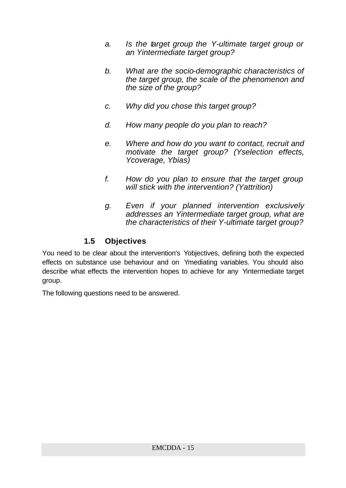- *a. Is the target group the Y-ultimate target group or an Yintermediate target group?*
- *b. What are the socio-demographic characteristics of the target group, the scale of the phenomenon and the size of the group?*
- *c. Why did you chose this target group?*
- *d. How many people do you plan to reach?*
- *e. Where and how do you want to contact, recruit and motivate the target group? (Yselection effects, Ycoverage, Ybias)*
- *f. How do you plan to ensure that the target group will stick with the intervention? (Yattrition)*
- *g. Even if your planned intervention exclusively addresses an Yintermediate target group, what are the characteristics of their Y-ultimate target group?*

#### **1.5 Objectives**

You need to be clear about the intervention's Yobjectives, defining both the expected effects on substance use behaviour and on Ymediating variables. You should also describe what effects the intervention hopes to achieve for any Yintermediate target group.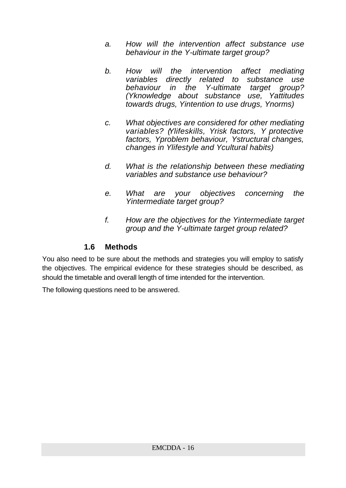- *a. How will the intervention affect substance use behaviour in the Y-ultimate target group?*
- *b. How will the intervention affect mediating variables directly related to substance use behaviour in the Y-ultimate target group? (Yknowledge about substance use, Yattitudes towards drugs, Yintention to use drugs, Ynorms)*
- *c. What objectives are considered for other mediating variables? (Ylifeskills, Yrisk factors, Y protective factors, Yproblem behaviour, Ystructural changes, changes in Ylifestyle and Ycultural habits)*
- *d. What is the relationship between these mediating variables and substance use behaviour?*
- *e. What are your objectives concerning the Yintermediate target group?*
- *f. How are the objectives for the Yintermediate target group and the Y-ultimate target group related?*

#### **1.6 Methods**

You also need to be sure about the methods and strategies you will employ to satisfy the objectives. The empirical evidence for these strategies should be described, as should the timetable and overall length of time intended for the intervention.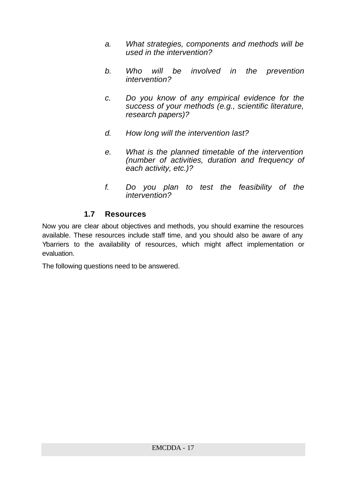- *a. What strategies, components and methods will be used in the intervention?*
- *b. Who will be involved in the prevention intervention?*
- *c. Do you know of any empirical evidence for the success of your methods (e.g., scientific literature, research papers)?*
- *d. How long will the intervention last?*
- *e. What is the planned timetable of the intervention (number of activities, duration and frequency of each activity, etc.)?*
- *f. Do you plan to test the feasibility of the intervention?*

#### **1.7 Resources**

Now you are clear about objectives and methods, you should examine the resources available. These resources include staff time, and you should also be aware of any Ybarriers to the availability of resources, which might affect implementation or evaluation.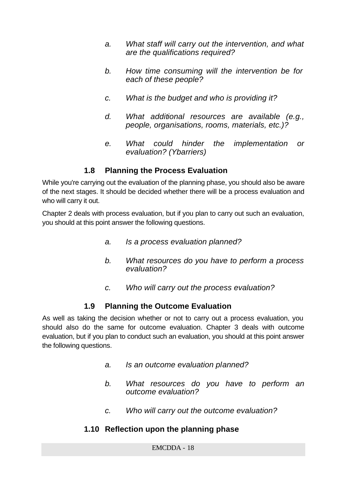- *a. What staff will carry out the intervention, and what are the qualifications required?*
- *b. How time consuming will the intervention be for each of these people?*
- *c. What is the budget and who is providing it?*
- *d. What additional resources are available (e.g., people, organisations, rooms, materials, etc.)?*
- *e. What could hinder the implementation or evaluation? (Ybarriers)*

#### **1.8 Planning the Process Evaluation**

While you're carrying out the evaluation of the planning phase, you should also be aware of the next stages. It should be decided whether there will be a process evaluation and who will carry it out.

Chapter 2 deals with process evaluation, but if you plan to carry out such an evaluation, you should at this point answer the following questions.

- *a. Is a process evaluation planned?*
- *b. What resources do you have to perform a process evaluation?*
- *c. Who will carry out the process evaluation?*

#### **1.9 Planning the Outcome Evaluation**

As well as taking the decision whether or not to carry out a process evaluation, you should also do the same for outcome evaluation. Chapter 3 deals with outcome evaluation, but if you plan to conduct such an evaluation, you should at this point answer the following questions.

- *a. Is an outcome evaluation planned?*
- *b. What resources do you have to perform an outcome evaluation?*
- *c. Who will carry out the outcome evaluation?*

#### **1.10 Reflection upon the planning phase**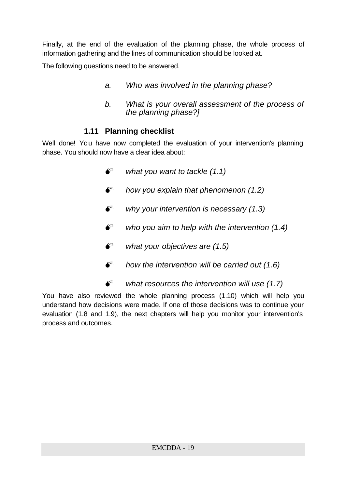Finally, at the end of the evaluation of the planning phase, the whole process of information gathering and the lines of communication should be looked at.

The following questions need to be answered.

- *a. Who was involved in the planning phase?*
- *b. What is your overall assessment of the process of the planning phase?]*

#### **1.11 Planning checklist**

Well done! You have now completed the evaluation of your intervention's planning phase. You should now have a clear idea about:

- $\bullet^*$  what you want to tackle (1.1)
- M *how you explain that phenomenon (1.2)*
- M *why your intervention is necessary (1.3)*
- $\bullet^*$  who you aim to help with the intervention (1.4)
- $\bullet^*$  what your objectives are (1.5)
- $\bullet^*$  how the intervention will be carried out (1.6)
- M *what resources the intervention will use (1.7)*

You have also reviewed the whole planning process (1.10) which will help you understand how decisions were made. If one of those decisions was to continue your evaluation (1.8 and 1.9), the next chapters will help you monitor your intervention's process and outcomes.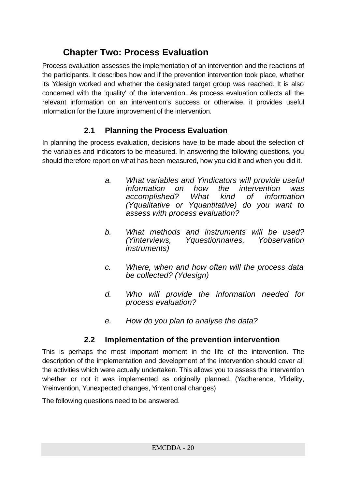# **Chapter Two: Process Evaluation**

Process evaluation assesses the implementation of an intervention and the reactions of the participants. It describes how and if the prevention intervention took place, whether its Ydesign worked and whether the designated target group was reached. It is also concerned with the 'quality' of the intervention. As process evaluation collects all the relevant information on an intervention's success or otherwise, it provides useful information for the future improvement of the intervention.

# **2.1 Planning the Process Evaluation**

In planning the process evaluation, decisions have to be made about the selection of the variables and indicators to be measured. In answering the following questions, you should therefore report on what has been measured, how you did it and when you did it.

- *a. What variables and Yindicators will provide useful information on how the intervention was accomplished? What kind of information (Yqualitative or Yquantitative) do you want to assess with process evaluation?*
- *b. What methods and instruments will be used? (Yinterviews, Yquestionnaires, Yobservation instruments)*
- *c. Where, when and how often will the process data be collected? (Ydesign)*
- *d. Who will provide the information needed for process evaluation?*
- *e. How do you plan to analyse the data?*

# **2.2 Implementation of the prevention intervention**

This is perhaps the most important moment in the life of the intervention. The description of the implementation and development of the intervention should cover all the activities which were actually undertaken. This allows you to assess the intervention whether or not it was implemented as originally planned. (Yadherence, Yfidelity, Yreinvention, Yunexpected changes, Yintentional changes)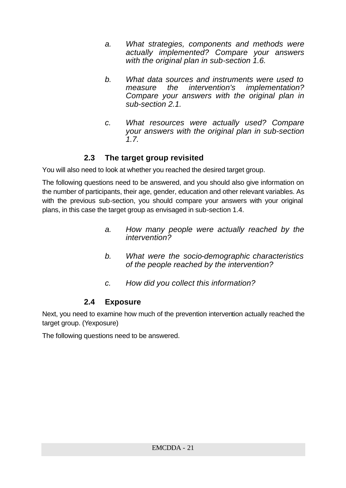- *a. What strategies, components and methods were actually implemented? Compare your answers with the original plan in sub-section 1.6.*
- *b. What data sources and instruments were used to measure the intervention's implementation? Compare your answers with the original plan in sub-section 2.1.*
- *c. What resources were actually used? Compare your answers with the original plan in sub-section 1.7.*

## **2.3 The target group revisited**

You will also need to look at whether you reached the desired target group.

The following questions need to be answered, and you should also give information on the number of participants, their age, gender, education and other relevant variables. As with the previous sub-section, you should compare your answers with your original plans, in this case the target group as envisaged in sub-section 1.4.

- *a. How many people were actually reached by the intervention?*
- *b. What were the socio-demographic characteristics of the people reached by the intervention?*
- *c. How did you collect this information?*

#### **2.4 Exposure**

Next, you need to examine how much of the prevention intervention actually reached the target group. (Yexposure)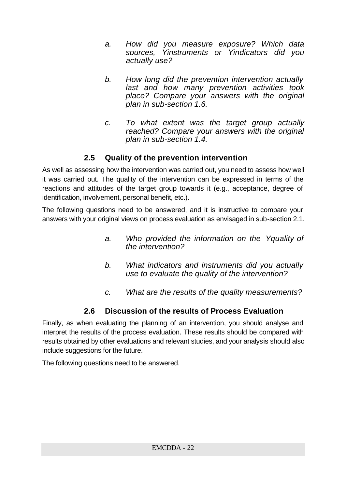- *a. How did you measure exposure? Which data sources, Yinstruments or Yindicators did you actually use?*
- *b. How long did the prevention intervention actually last and how many prevention activities took place? Compare your answers with the original plan in sub-section 1.6.*
- *c. To what extent was the target group actually reached? Compare your answers with the original plan in sub-section 1.4.*

# **2.5 Quality of the prevention intervention**

As well as assessing how the intervention was carried out, you need to assess how well it was carried out. The quality of the intervention can be expressed in terms of the reactions and attitudes of the target group towards it (e.g., acceptance, degree of identification, involvement, personal benefit, etc.).

The following questions need to be answered, and it is instructive to compare your answers with your original views on process evaluation as envisaged in sub-section 2.1.

- *a. Who provided the information on the Yquality of the intervention?*
- *b. What indicators and instruments did you actually use to evaluate the quality of the intervention?*
- *c. What are the results of the quality measurements?*

# **2.6 Discussion of the results of Process Evaluation**

Finally, as when evaluating the planning of an intervention, you should analyse and interpret the results of the process evaluation. These results should be compared with results obtained by other evaluations and relevant studies, and your analysis should also include suggestions for the future.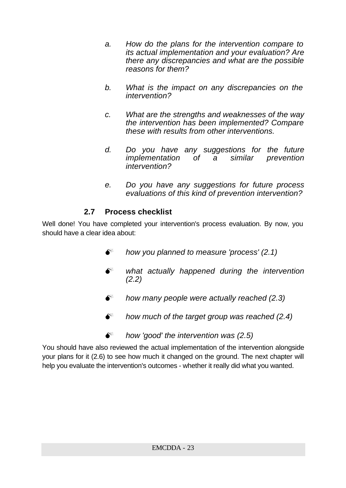- *a. How do the plans for the intervention compare to its actual implementation and your evaluation? Are there any discrepancies and what are the possible reasons for them?*
- *b. What is the impact on any discrepancies on the intervention?*
- *c. What are the strengths and weaknesses of the way the intervention has been implemented? Compare these with results from other interventions.*
- *d. Do you have any suggestions for the future implementation of a similar prevention intervention?*
- *e. Do you have any suggestions for future process evaluations of this kind of prevention intervention?*

# **2.7 Process checklist**

Well done! You have completed your intervention's process evaluation. By now, you should have a clear idea about:

- M *how you planned to measure 'process' (2.1)*
- $\bullet^*$  what actually happened during the intervention *(2.2)*
- M *how many people were actually reached (2.3)*
- $\bullet^*$  how much of the target group was reached (2.4)
- M *how 'good' the intervention was (2.5)*

You should have also reviewed the actual implementation of the intervention alongside your plans for it (2.6) to see how much it changed on the ground. The next chapter will help you evaluate the intervention's outcomes - whether it really did what you wanted.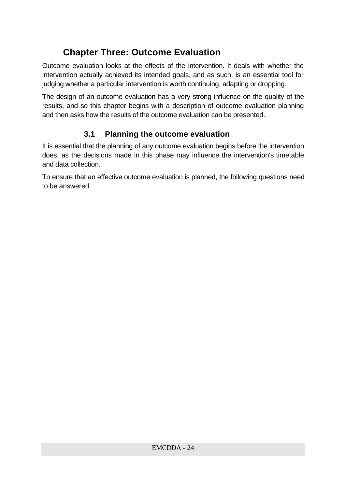# **Chapter Three: Outcome Evaluation**

Outcome evaluation looks at the effects of the intervention. It deals with whether the intervention actually achieved its intended goals, and as such, is an essential tool for judging whether a particular intervention is worth continuing, adapting or dropping.

The design of an outcome evaluation has a very strong influence on the quality of the results, and so this chapter begins with a description of outcome evaluation planning and then asks how the results of the outcome evaluation can be presented.

# **3.1 Planning the outcome evaluation**

It is essential that the planning of any outcome evaluation begins before the intervention does, as the decisions made in this phase may influence the intervention's timetable and data collection.

To ensure that an effective outcome evaluation is planned, the following questions need to be answered.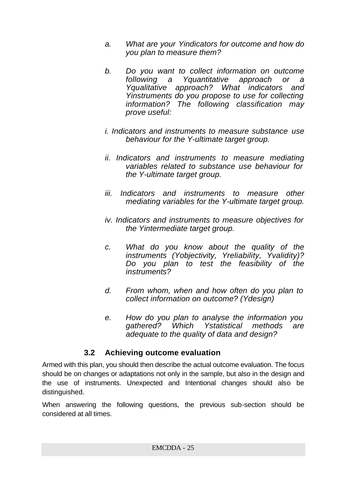- *a. What are your Yindicators for outcome and how do you plan to measure them?*
- *b. Do you want to collect information on outcome following a Yquantitative approach or a Yqualitative approach? What indicators and Yinstruments do you propose to use for collecting information? The following classification may prove useful:*
- *i. Indicators and instruments to measure substance use behaviour for the Y-ultimate target group.*
- *ii. Indicators and instruments to measure mediating variables related to substance use behaviour for the Y-ultimate target group.*
- *iii. Indicators and instruments to measure other mediating variables for the Y-ultimate target group.*
- *iv. Indicators and instruments to measure objectives for the Yintermediate target group.*
- *c. What do you know about the quality of the instruments (Yobjectivity, Yreliability, Yvalidity)? Do you plan to test the feasibility of the instruments?*
- *d. From whom, when and how often do you plan to collect information on outcome? (Ydesign)*
- *e. How do you plan to analyse the information you gathered? Which Ystatistical methods are adequate to the quality of data and design?*

#### **3.2 Achieving outcome evaluation**

Armed with this plan, you should then describe the actual outcome evaluation. The focus should be on changes or adaptations not only in the sample, but also in the design and the use of instruments. Unexpected and Intentional changes should also be distinguished.

When answering the following questions, the previous sub-section should be considered at all times.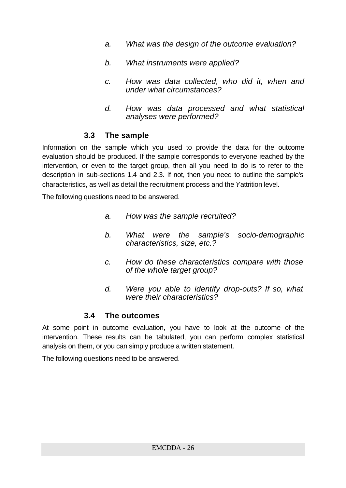- *a. What was the design of the outcome evaluation?*
- *b. What instruments were applied?*
- *c. How was data collected, who did it, when and under what circumstances?*
- *d. How was data processed and what statistical analyses were performed?*

#### **3.3 The sample**

Information on the sample which you used to provide the data for the outcome evaluation should be produced. If the sample corresponds to everyone reached by the intervention, or even to the target group, then all you need to do is to refer to the description in sub-sections 1.4 and 2.3. If not, then you need to outline the sample's characteristics, as well as detail the recruitment process and the *Y*attrition level.

The following questions need to be answered.

- *a. How was the sample recruited?*
- *b. What were the sample's socio-demographic characteristics, size, etc.?*
- *c. How do these characteristics compare with those of the whole target group?*
- *d. Were you able to identify drop-outs? If so, what were their characteristics?*

#### **3.4 The outcomes**

At some point in outcome evaluation, you have to look at the outcome of the intervention. These results can be tabulated, you can perform complex statistical analysis on them, or you can simply produce a written statement.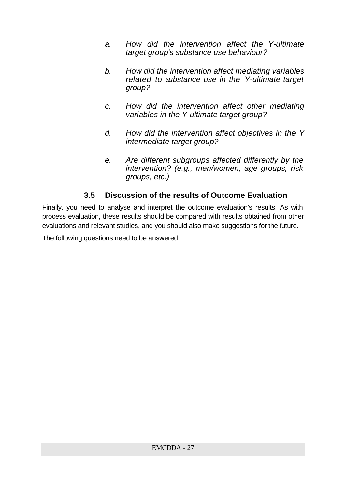- *a. How did the intervention affect the Y-ultimate target group's substance use behaviour?*
- *b. How did the intervention affect mediating variables related to substance use in the Y-ultimate target group?*
- *c. How did the intervention affect other mediating variables in the Y-ultimate target group?*
- *d. How did the intervention affect objectives in the Y intermediate target group?*
- *e. Are different subgroups affected differently by the intervention? (e.g., men/women, age groups, risk groups, etc.)*

## **3.5 Discussion of the results of Outcome Evaluation**

Finally, you need to analyse and interpret the outcome evaluation's results. As with process evaluation, these results should be compared with results obtained from other evaluations and relevant studies, and you should also make suggestions for the future.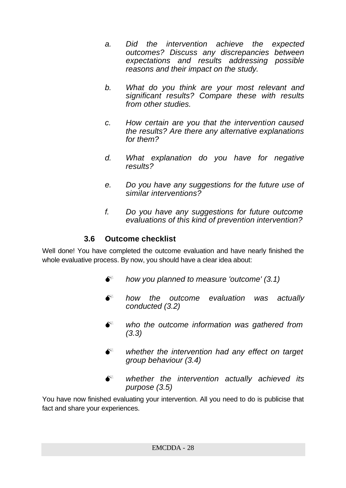- *a. Did the intervention achieve the expected outcomes? Discuss any discrepancies between expectations and results addressing possible reasons and their impact on the study.*
- *b. What do you think are your most relevant and significant results? Compare these with results from other studies.*
- *c. How certain are you that the intervention caused the results? Are there any alternative explanations for them?*
- *d. What explanation do you have for negative results?*
- *e. Do you have any suggestions for the future use of similar interventions?*
- *f. Do you have any suggestions for future outcome evaluations of this kind of prevention intervention?*

## **3.6 Outcome checklist**

Well done! You have completed the outcome evaluation and have nearly finished the whole evaluative process. By now, you should have a clear idea about:

- M *how you planned to measure 'outcome' (3.1)*
- $\bullet^*$  how the outcome evaluation was actually *conducted (3.2)*
- $\bullet^*$  who the outcome information was gathered from *(3.3)*
- $\bullet^*$  whether the intervention had any effect on target *group behaviour (3.4)*
- $\bullet^*$  whether the intervention actually achieved its *purpose (3.5)*

You have now finished evaluating your intervention. All you need to do is publicise that fact and share your experiences.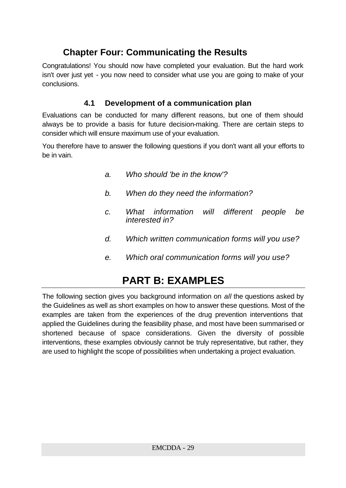# **Chapter Four: Communicating the Results**

Congratulations! You should now have completed your evaluation. But the hard work isn't over just yet - you now need to consider what use you are going to make of your conclusions.

## **4.1 Development of a communication plan**

Evaluations can be conducted for many different reasons, but one of them should always be to provide a basis for future decision-making. There are certain steps to consider which will ensure maximum use of your evaluation.

You therefore have to answer the following questions if you don't want all your efforts to be in vain.

- *a. Who should 'be in the know'?*
- *b. When do they need the information?*
- *c. What information will different people be interested in?*
- *d. Which written communication forms will you use?*
- *e. Which oral communication forms will you use?*

# **PART B: EXAMPLES**

The following section gives you background information on *all* the questions asked by the Guidelines as well as short examples on how to answer these questions. Most of the examples are taken from the experiences of the drug prevention interventions that applied the Guidelines during the feasibility phase, and most have been summarised or shortened because of space considerations. Given the diversity of possible interventions, these examples obviously cannot be truly representative, but rather, they are used to highlight the scope of possibilities when undertaking a project evaluation.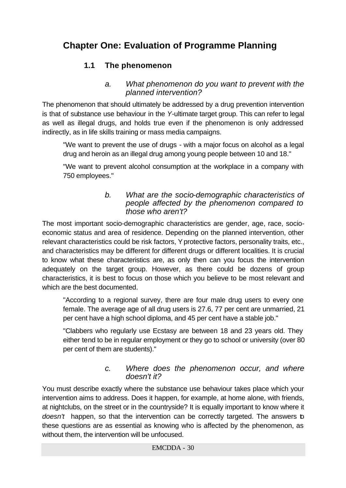# **Chapter One: Evaluation of Programme Planning**

# **1.1 The phenomenon**

#### *a. What phenomenon do you want to prevent with the planned intervention?*

The phenomenon that should ultimately be addressed by a drug prevention intervention is that of substance use behaviour in the *Y*-ultimate target group. This can refer to legal as well as illegal drugs, and holds true even if the phenomenon is only addressed indirectly, as in life skills training or mass media campaigns.

"We want to prevent the use of drugs - with a major focus on alcohol as a legal drug and heroin as an illegal drug among young people between 10 and 18."

"We want to prevent alcohol consumption at the workplace in a company with 750 employees."

#### *b. What are the socio-demographic characteristics of people affected by the phenomenon compared to those who aren't?*

The most important socio-demographic characteristics are gender, age, race, socioeconomic status and area of residence. Depending on the planned intervention, other relevant characteristics could be risk factors, Y protective factors, personality traits, etc., and characteristics may be different for different drugs or different localities. It is crucial to know what these characteristics are, as only then can you focus the intervention adequately on the target group. However, as there could be dozens of group characteristics, it is best to focus on those which you believe to be most relevant and which are the best documented.

"According to a regional survey, there are four male drug users to every one female. The average age of all drug users is 27.6, 77 per cent are unmarried, 21 per cent have a high school diploma, and 45 per cent have a stable job."

"Clabbers who regularly use Ecstasy are between 18 and 23 years old. They either tend to be in regular employment or they go to school or university (over 80 per cent of them are students)."

#### *c. Where does the phenomenon occur, and where doesn't it?*

You must describe exactly where the substance use behaviour takes place which your intervention aims to address. Does it happen, for example, at home alone, with friends, at nightclubs, on the street or in the countryside? It is equally important to know where it *doesn't* happen, so that the intervention can be correctly targeted. The answers to these questions are as essential as knowing who is affected by the phenomenon, as without them, the intervention will be unfocused.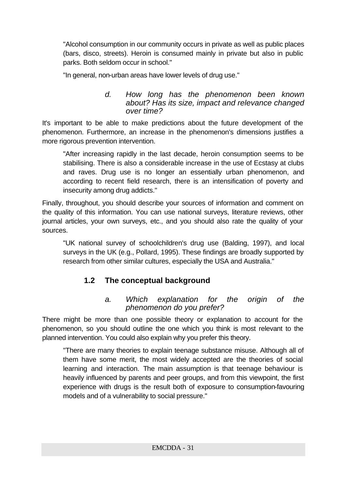"Alcohol consumption in our community occurs in private as well as public places (bars, disco, streets). Heroin is consumed mainly in private but also in public parks. Both seldom occur in school."

"In general, non-urban areas have lower levels of drug use."

#### *d. How long has the phenomenon been known about? Has its size, impact and relevance changed over time?*

It's important to be able to make predictions about the future development of the phenomenon. Furthermore, an increase in the phenomenon's dimensions justifies a more rigorous prevention intervention.

"After increasing rapidly in the last decade, heroin consumption seems to be stabilising. There is also a considerable increase in the use of Ecstasy at clubs and raves. Drug use is no longer an essentially urban phenomenon, and according to recent field research, there is an intensification of poverty and insecurity among drug addicts."

Finally, throughout, you should describe your sources of information and comment on the quality of this information. You can use national surveys, literature reviews, other journal articles, your own surveys, etc., and you should also rate the quality of your sources.

"UK national survey of schoolchildren's drug use (Balding, 1997), and local surveys in the UK (e.g., Pollard, 1995). These findings are broadly supported by research from other similar cultures, especially the USA and Australia."

# **1.2 The conceptual background**

#### *a. Which explanation for the origin of the phenomenon do you prefer?*

There might be more than one possible theory or explanation to account for the phenomenon, so you should outline the one which you think is most relevant to the planned intervention. You could also explain why you prefer this theory.

"There are many theories to explain teenage substance misuse. Although all of them have some merit, the most widely accepted are the theories of social learning and interaction. The main assumption is that teenage behaviour is heavily influenced by parents and peer groups, and from this viewpoint, the first experience with drugs is the result both of exposure to consumption-favouring models and of a vulnerability to social pressure."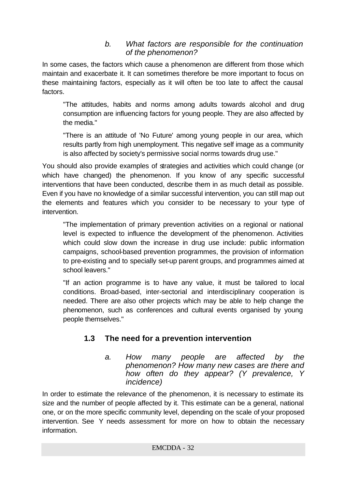#### *b. What factors are responsible for the continuation of the phenomenon?*

In some cases, the factors which cause a phenomenon are different from those which maintain and exacerbate it. It can sometimes therefore be more important to focus on these maintaining factors, especially as it will often be too late to affect the causal factors.

"The attitudes, habits and norms among adults towards alcohol and drug consumption are influencing factors for young people. They are also affected by the media."

"There is an attitude of 'No Future' among young people in our area, which results partly from high unemployment. This negative self image as a community is also affected by society's permissive social norms towards drug use."

You should also provide examples of strategies and activities which could change (or which have changed) the phenomenon. If you know of any specific successful interventions that have been conducted, describe them in as much detail as possible. Even if you have no knowledge of a similar successful intervention, you can still map out the elements and features which you consider to be necessary to your type of intervention.

"The implementation of primary prevention activities on a regional or national level is expected to influence the development of the phenomenon. Activities which could slow down the increase in drug use include: public information campaigns, school-based prevention programmes, the provision of information to pre-existing and to specially set-up parent groups, and programmes aimed at school leavers."

"If an action programme is to have any value, it must be tailored to local conditions. Broad-based, inter-sectorial and interdisciplinary cooperation is needed. There are also other projects which may be able to help change the phenomenon, such as conferences and cultural events organised by young people themselves."

# **1.3 The need for a prevention intervention**

*a. How many people are affected by the phenomenon? How many new cases are there and how often do they appear? (Y prevalence, Y incidence)*

In order to estimate the relevance of the phenomenon, it is necessary to estimate its size and the number of people affected by it. This estimate can be a general, national one, or on the more specific community level, depending on the scale of your proposed intervention. See Y needs assessment for more on how to obtain the necessary information.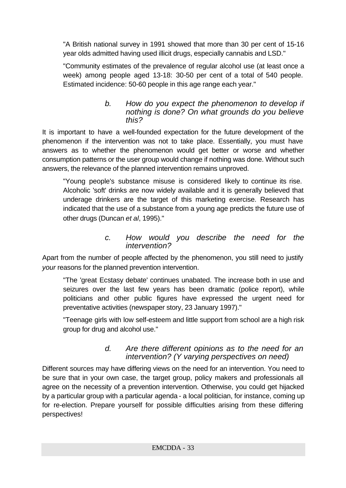"A British national survey in 1991 showed that more than 30 per cent of 15-16 year olds admitted having used illicit drugs, especially cannabis and LSD."

"Community estimates of the prevalence of regular alcohol use (at least once a week) among people aged 13-18: 30-50 per cent of a total of 540 people. Estimated incidence: 50-60 people in this age range each year."

#### *b. How do you expect the phenomenon to develop if nothing is done? On what grounds do you believe this?*

It is important to have a well-founded expectation for the future development of the phenomenon if the intervention was not to take place. Essentially, you must have answers as to whether the phenomenon would get better or worse and whether consumption patterns or the user group would change if nothing was done. Without such answers, the relevance of the planned intervention remains unproved.

"Young people's substance misuse is considered likely to continue its rise. Alcoholic 'soft' drinks are now widely available and it is generally believed that underage drinkers are the target of this marketing exercise. Research has indicated that the use of a substance from a young age predicts the future use of other drugs (Duncan *et al*, 1995)."

#### *c. How would you describe the need for the intervention?*

Apart from the number of people affected by the phenomenon, you still need to justify *your* reasons for the planned prevention intervention.

"The 'great Ecstasy debate' continues unabated. The increase both in use and seizures over the last few years has been dramatic (police report), while politicians and other public figures have expressed the urgent need for preventative activities (newspaper story, 23 January 1997)."

"Teenage girls with low self-esteem and little support from school are a high risk group for drug and alcohol use."

#### *d. Are there different opinions as to the need for an intervention? (Y varying perspectives on need)*

Different sources may have differing views on the need for an intervention. You need to be sure that in your own case, the target group, policy makers and professionals all agree on the necessity of a prevention intervention. Otherwise, you could get hijacked by a particular group with a particular agenda - a local politician, for instance, coming up for re-election. Prepare yourself for possible difficulties arising from these differing perspectives!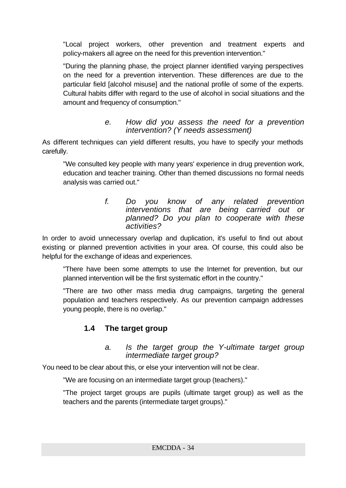"Local project workers, other prevention and treatment experts and policy-makers all agree on the need for this prevention intervention."

"During the planning phase, the project planner identified varying perspectives on the need for a prevention intervention. These differences are due to the particular field [alcohol misuse] and the national profile of some of the experts. Cultural habits differ with regard to the use of alcohol in social situations and the amount and frequency of consumption."

#### *e. How did you assess the need for a prevention intervention? (Y needs assessment)*

As different techniques can yield different results, you have to specify your methods carefully.

"We consulted key people with many years' experience in drug prevention work, education and teacher training. Other than themed discussions no formal needs analysis was carried out."

#### *f. Do you know of any related prevention interventions that are being carried out or planned? Do you plan to cooperate with these activities?*

In order to avoid unnecessary overlap and duplication, it's useful to find out about existing or planned prevention activities in your area. Of course, this could also be helpful for the exchange of ideas and experiences.

"There have been some attempts to use the Internet for prevention, but our planned intervention will be the first systematic effort in the country."

"There are two other mass media drug campaigns, targeting the general population and teachers respectively. As our prevention campaign addresses young people, there is no overlap."

# **1.4 The target group**

#### *a. Is the target group the Y-ultimate target group intermediate target group?*

You need to be clear about this, or else your intervention will not be clear.

"We are focusing on an intermediate target group (teachers)."

"The project target groups are pupils (ultimate target group) as well as the teachers and the parents (intermediate target groups)."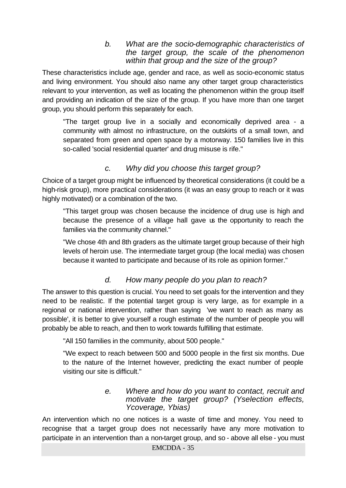#### *b. What are the socio-demographic characteristics of the target group, the scale of the phenomenon within that group and the size of the group?*

These characteristics include age, gender and race, as well as socio-economic status and living environment. You should also name any other target group characteristics relevant to your intervention, as well as locating the phenomenon within the group itself and providing an indication of the size of the group. If you have more than one target group, you should perform this separately for each.

"The target group live in a socially and economically deprived area - a community with almost no infrastructure, on the outskirts of a small town, and separated from green and open space by a motorway. 150 families live in this so-called 'social residential quarter' and drug misuse is rife."

## *c. Why did you choose this target group?*

Choice of a target group might be influenced by theoretical considerations (it could be a high-risk group), more practical considerations (it was an easy group to reach or it was highly motivated) or a combination of the two.

"This target group was chosen because the incidence of drug use is high and because the presence of a village hall gave us the opportunity to reach the families via the community channel."

"We chose 4th and 8th graders as the ultimate target group because of their high levels of heroin use. The intermediate target group (the local media) was chosen because it wanted to participate and because of its role as opinion former."

#### *d. How many people do you plan to reach?*

The answer to this question is crucial. You need to set goals for the intervention and they need to be realistic. If the potential target group is very large, as for example in a regional or national intervention, rather than saying 'we want to reach as many as possible', it is better to give yourself a rough estimate of the number of people you will probably be able to reach, and then to work towards fulfilling that estimate.

"All 150 families in the community, about 500 people."

"We expect to reach between 500 and 5000 people in the first six months. Due to the nature of the Internet however, predicting the exact number of people visiting our site is difficult."

#### *e. Where and how do you want to contact, recruit and motivate the target group? (Yselection effects, Ycoverage, Ybias)*

An intervention which no one notices is a waste of time and money. You need to recognise that a target group does not necessarily have any more motivation to participate in an intervention than a non-target group, and so - above all else - you must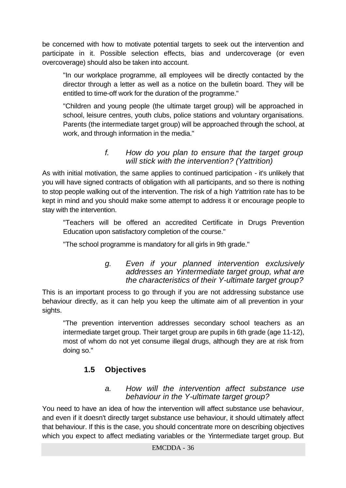be concerned with how to motivate potential targets to seek out the intervention and participate in it. Possible selection effects, bias and undercoverage (or even overcoverage) should also be taken into account.

"In our workplace programme, all employees will be directly contacted by the director through a letter as well as a notice on the bulletin board. They will be entitled to time-off work for the duration of the programme."

"Children and young people (the ultimate target group) will be approached in school, leisure centres, youth clubs, police stations and voluntary organisations. Parents (the intermediate target group) will be approached through the school, at work, and through information in the media."

#### *f. How do you plan to ensure that the target group will stick with the intervention? (Yattrition)*

As with initial motivation, the same applies to continued participation - it's unlikely that you will have signed contracts of obligation with all participants, and so there is nothing to stop people walking out of the intervention. The risk of a high *Y*attrition rate has to be kept in mind and you should make some attempt to address it or encourage people to stay with the intervention.

"Teachers will be offered an accredited Certificate in Drugs Prevention Education upon satisfactory completion of the course."

"The school programme is mandatory for all girls in 9th grade."

#### *g. Even if your planned intervention exclusively addresses an Yintermediate target group, what are the characteristics of their Y-ultimate target group?*

This is an important process to go through if you are not addressing substance use behaviour directly, as it can help you keep the ultimate aim of all prevention in your sights.

"The prevention intervention addresses secondary school teachers as an intermediate target group. Their target group are pupils in 6th grade (age 11-12), most of whom do not yet consume illegal drugs, although they are at risk from doing so."

# **1.5 Objectives**

#### *a. How will the intervention affect substance use behaviour in the Y-ultimate target group?*

You need to have an idea of how the intervention will affect substance use behaviour, and even if it doesn't directly target substance use behaviour, it should ultimately affect that behaviour. If this is the case, you should concentrate more on describing objectives which you expect to affect mediating variables or the Yintermediate target group. But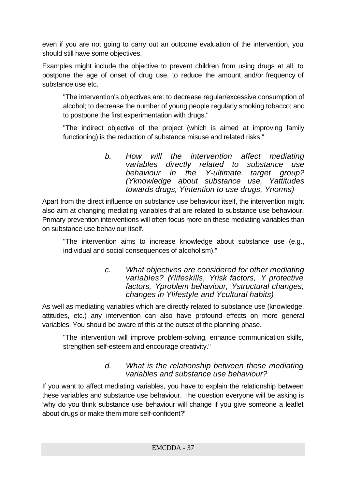even if you are not going to carry out an outcome evaluation of the intervention, you should still have some objectives.

Examples might include the objective to prevent children from using drugs at all, to postpone the age of onset of drug use, to reduce the amount and/or frequency of substance use etc.

"The intervention's objectives are: to decrease regular/excessive consumption of alcohol; to decrease the number of young people regularly smoking tobacco; and to postpone the first experimentation with drugs."

"The indirect objective of the project (which is aimed at improving family functioning) is the reduction of substance misuse and related risks."

> *b. How will the intervention affect mediating variables directly related to substance use in the Y-ultimate target group? (Yknowledge about substance use, Yattitudes towards drugs, Yintention to use drugs, Ynorms)*

Apart from the direct influence on substance use behaviour itself, the intervention might also aim at changing mediating variables that are related to substance use behaviour. Primary prevention interventions will often focus more on these mediating variables than on substance use behaviour itself.

"The intervention aims to increase knowledge about substance use (e.g., individual and social consequences of alcoholism)."

> *c. What objectives are considered for other mediating variables? (Ylifeskills, Yrisk factors, Y protective factors, Yproblem behaviour, Ystructural changes, changes in Ylifestyle and Ycultural habits)*

As well as mediating variables which are directly related to substance use (knowledge, attitudes, etc.) any intervention can also have profound effects on more general variables. You should be aware of this at the outset of the planning phase.

"The intervention will improve problem-solving, enhance communication skills, strengthen self-esteem and encourage creativity."

### *d. What is the relationship between these mediating variables and substance use behaviour?*

If you want to affect mediating variables, you have to explain the relationship between these variables and substance use behaviour. The question everyone will be asking is 'why do you think substance use behaviour will change if you give someone a leaflet about drugs or make them more self-confident?'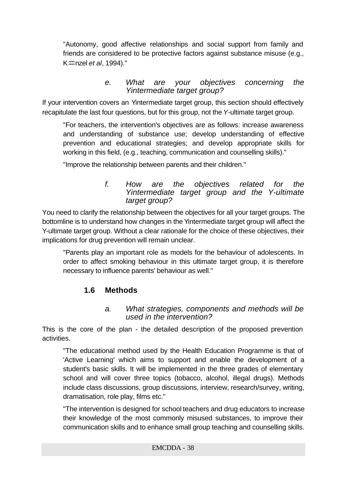"Autonomy, good affective relationships and social support from family and friends are considered to be protective factors against substance misuse (e.g., K*m*nzel *et al*, 1994)."

#### *e. What are your objectives concerning the Yintermediate target group?*

If your intervention covers an Yintermediate target group, this section should effectively recapitulate the last four questions, but for this group, not the *Y*-ultimate target group.

"For teachers, the intervention's objectives are as follows: increase awareness and understanding of substance use; develop understanding of effective prevention and educational strategies; and develop appropriate skills for working in this field, (e.g., teaching, communication and counselling skills)."

"Improve the relationship between parents and their children."

*f. How are the objectives related for the Yintermediate target group and the Y-ultimate target group?*

You need to clarify the relationship between the objectives for all your target groups. The bottomline is to understand how changes in the Yintermediate target group will affect the Y-ultimate target group. Without a clear rationale for the choice of these objectives, their implications for drug prevention will remain unclear.

"Parents play an important role as models for the behaviour of adolescents. In order to affect smoking behaviour in this ultimate target group, it is therefore necessary to influence parents' behaviour as well."

### **1.6 Methods**

### *a. What strategies, components and methods will be used in the intervention?*

This is the core of the plan - the detailed description of the proposed prevention activities.

"The educational method used by the Health Education Programme is that of 'Active Learning' which aims to support and enable the development of a student's basic skills. It will be implemented in the three grades of elementary school and will cover three topics (tobacco, alcohol, illegal drugs). Methods include class discussions, group discussions, interview, research/survey, writing, dramatisation, role play, films etc."

"The intervention is designed for school teachers and drug educators to increase their knowledge of the most commonly misused substances, to improve their communication skills and to enhance small group teaching and counselling skills.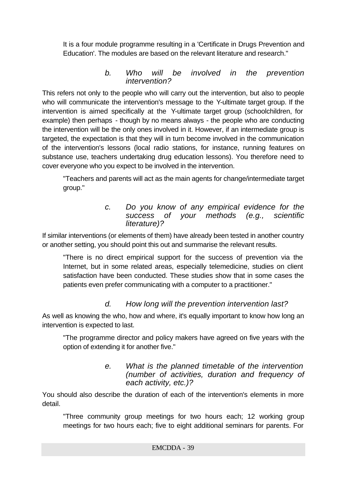It is a four module programme resulting in a 'Certificate in Drugs Prevention and Education'. The modules are based on the relevant literature and research."

### *b. Who will be involved in the prevention intervention?*

This refers not only to the people who will carry out the intervention, but also to people who will communicate the intervention's message to the Y-ultimate target group. If the intervention is aimed specifically at the Y-ultimate target group (schoolchildren, for example) then perhaps - though by no means always - the people who are conducting the intervention will be the only ones involved in it. However, if an intermediate group is targeted, the expectation is that they will in turn become involved in the communication of the intervention's lessons (local radio stations, for instance, running features on substance use, teachers undertaking drug education lessons). You therefore need to cover everyone who you expect to be involved in the intervention.

"Teachers and parents will act as the main agents for change/intermediate target group."

#### *c. Do you know of any empirical evidence for the success of your methods (e.g., scientific literature)?*

If similar interventions (or elements of them) have already been tested in another country or another setting, you should point this out and summarise the relevant results.

"There is no direct empirical support for the success of prevention via the Internet, but in some related areas, especially telemedicine, studies on client satisfaction have been conducted. These studies show that in some cases the patients even prefer communicating with a computer to a practitioner."

### *d. How long will the prevention intervention last?*

As well as knowing the who, how and where, it's equally important to know how long an intervention is expected to last.

"The programme director and policy makers have agreed on five years with the option of extending it for another five."

#### *e. What is the planned timetable of the intervention (number of activities, duration and frequency of each activity, etc.)?*

You should also describe the duration of each of the intervention's elements in more detail.

"Three community group meetings for two hours each; 12 working group meetings for two hours each; five to eight additional seminars for parents. For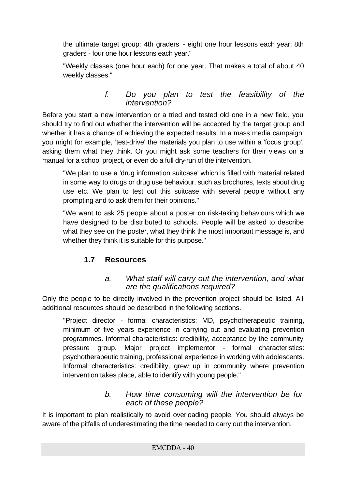the ultimate target group: 4th graders - eight one hour lessons each year; 8th graders - four one hour lessons each year."

"Weekly classes (one hour each) for one year. That makes a total of about 40 weekly classes."

#### *f. Do you plan to test the feasibility of the intervention?*

Before you start a new intervention or a tried and tested old one in a new field, you should try to find out whether the intervention will be accepted by the target group and whether it has a chance of achieving the expected results. In a mass media campaign, you might for example, 'test-drive' the materials you plan to use within a 'focus group', asking them what they think. Or you might ask some teachers for their views on a manual for a school project, or even do a full dry-run of the intervention.

"We plan to use a 'drug information suitcase' which is filled with material related in some way to drugs or drug use behaviour, such as brochures, texts about drug use etc. We plan to test out this suitcase with several people without any prompting and to ask them for their opinions."

"We want to ask 25 people about a poster on risk-taking behaviours which we have designed to be distributed to schools. People will be asked to describe what they see on the poster, what they think the most important message is, and whether they think it is suitable for this purpose."

### **1.7 Resources**

### *a. What staff will carry out the intervention, and what are the qualifications required?*

Only the people to be directly involved in the prevention project should be listed. All additional resources should be described in the following sections.

"Project director - formal characteristics: MD, psychotherapeutic training, minimum of five years experience in carrying out and evaluating prevention programmes. Informal characteristics: credibility, acceptance by the community pressure group. Major project implementor - formal characteristics: psychotherapeutic training, professional experience in working with adolescents. Informal characteristics: credibility, grew up in community where prevention intervention takes place, able to identify with young people."

### *b. How time consuming will the intervention be for each of these people?*

It is important to plan realistically to avoid overloading people. You should always be aware of the pitfalls of underestimating the time needed to carry out the intervention.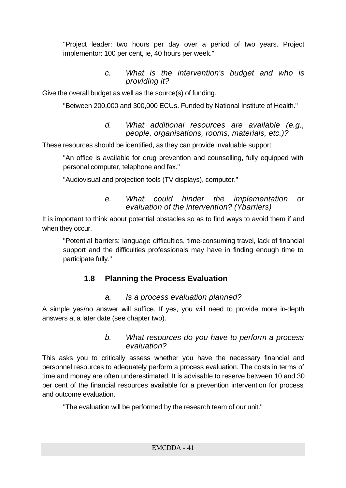"Project leader: two hours per day over a period of two years. Project implementor: 100 per cent, ie, 40 hours per week."

> *c. What is the intervention's budget and who is providing it?*

Give the overall budget as well as the source(s) of funding.

"Between 200,000 and 300,000 ECUs. Funded by National Institute of Health."

*d. What additional resources are available (e.g., people, organisations, rooms, materials, etc.)?*

These resources should be identified, as they can provide invaluable support.

"An office is available for drug prevention and counselling, fully equipped with personal computer, telephone and fax."

"Audiovisual and projection tools (TV displays), computer."

#### *e. What could hinder the implementation or evaluation of the intervention? (Ybarriers)*

It is important to think about potential obstacles so as to find ways to avoid them if and when they occur.

"Potential barriers: language difficulties, time-consuming travel, lack of financial support and the difficulties professionals may have in finding enough time to participate fully."

### **1.8 Planning the Process Evaluation**

### *a. Is a process evaluation planned?*

A simple yes/no answer will suffice. If yes, you will need to provide more in-depth answers at a later date (see chapter two).

#### *b. What resources do you have to perform a process evaluation?*

This asks you to critically assess whether you have the necessary financial and personnel resources to adequately perform a process evaluation. The costs in terms of time and money are often underestimated. It is advisable to reserve between 10 and 30 per cent of the financial resources available for a prevention intervention for process and outcome evaluation.

"The evaluation will be performed by the research team of our unit."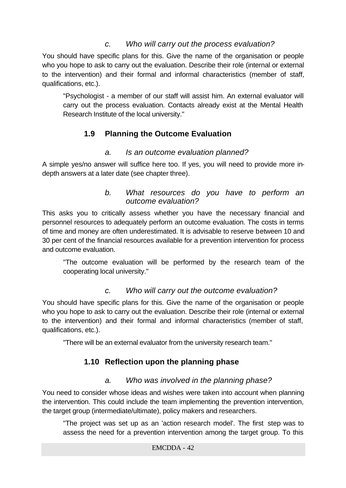### *c. Who will carry out the process evaluation?*

You should have specific plans for this. Give the name of the organisation or people who you hope to ask to carry out the evaluation. Describe their role (internal or external to the intervention) and their formal and informal characteristics (member of staff, qualifications, etc.).

"Psychologist - a member of our staff will assist him. An external evaluator will carry out the process evaluation. Contacts already exist at the Mental Health Research Institute of the local university."

### **1.9 Planning the Outcome Evaluation**

### *a. Is an outcome evaluation planned?*

A simple yes/no answer will suffice here too. If yes, you will need to provide more indepth answers at a later date (see chapter three).

#### *b. What resources do you have to perform an outcome evaluation?*

This asks you to critically assess whether you have the necessary financial and personnel resources to adequately perform an outcome evaluation. The costs in terms of time and money are often underestimated. It is advisable to reserve between 10 and 30 per cent of the financial resources available for a prevention intervention for process and outcome evaluation.

"The outcome evaluation will be performed by the research team of the cooperating local university."

### *c. Who will carry out the outcome evaluation?*

You should have specific plans for this. Give the name of the organisation or people who you hope to ask to carry out the evaluation. Describe their role (internal or external to the intervention) and their formal and informal characteristics (member of staff, qualifications, etc.).

"There will be an external evaluator from the university research team."

### **1.10 Reflection upon the planning phase**

### *a. Who was involved in the planning phase?*

You need to consider whose ideas and wishes were taken into account when planning the intervention. This could include the team implementing the prevention intervention, the target group (intermediate/ultimate), policy makers and researchers.

"The project was set up as an 'action research model'. The first step was to assess the need for a prevention intervention among the target group. To this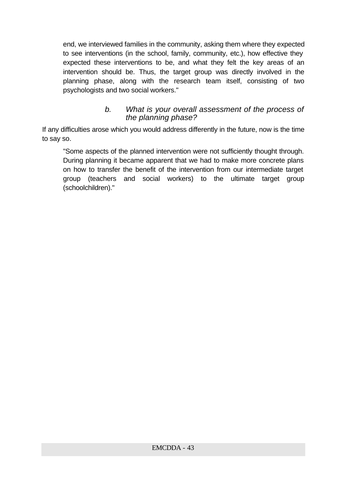end, we interviewed families in the community, asking them where they expected to see interventions (in the school, family, community, etc.), how effective they expected these interventions to be, and what they felt the key areas of an intervention should be. Thus, the target group was directly involved in the planning phase, along with the research team itself, consisting of two psychologists and two social workers."

#### *b. What is your overall assessment of the process of the planning phase?*

If any difficulties arose which you would address differently in the future, now is the time to say so.

"Some aspects of the planned intervention were not sufficiently thought through. During planning it became apparent that we had to make more concrete plans on how to transfer the benefit of the intervention from our intermediate target group (teachers and social workers) to the ultimate target group (schoolchildren)."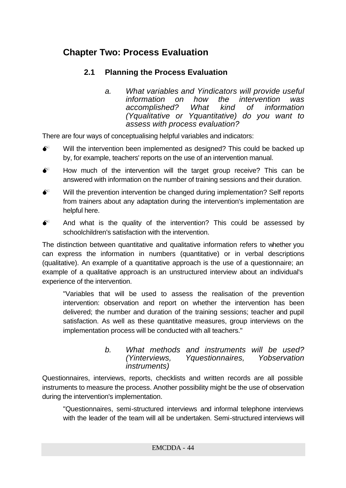# **Chapter Two: Process Evaluation**

### **2.1 Planning the Process Evaluation**

*a. What variables and Yindicators will provide useful information on how the intervention was accomplished? What kind of information (Yqualitative or Yquantitative) do you want to assess with process evaluation?*

There are four ways of conceptualising helpful variables and indicators:

- $\bullet^*$  Will the intervention been implemented as designed? This could be backed up by, for example, teachers' reports on the use of an intervention manual.
- $\bullet^*$  How much of the intervention will the target group receive? This can be answered with information on the number of training sessions and their duration.
- $\bullet$  Will the prevention intervention be changed during implementation? Self reports from trainers about any adaptation during the intervention's implementation are helpful here.
- $\bullet$  And what is the quality of the intervention? This could be assessed by schoolchildren's satisfaction with the intervention.

The distinction between quantitative and qualitative information refers to whether you can express the information in numbers (quantitative) or in verbal descriptions (qualitative). An example of a quantitative approach is the use of a questionnaire; an example of a qualitative approach is an unstructured interview about an individual's experience of the intervention.

"Variables that will be used to assess the realisation of the prevention intervention: observation and report on whether the intervention has been delivered; the number and duration of the training sessions; teacher and pupil satisfaction. As well as these quantitative measures, group interviews on the implementation process will be conducted with all teachers."

#### *b. What methods and instruments will be used? (Yinterviews, Yquestionnaires, Yobservation instruments)*

Questionnaires, interviews, reports, checklists and written records are all possible instruments to measure the process. Another possibility might be the use of observation during the intervention's implementation.

"Questionnaires, semi-structured interviews and informal telephone interviews with the leader of the team will all be undertaken. Semi-structured interviews will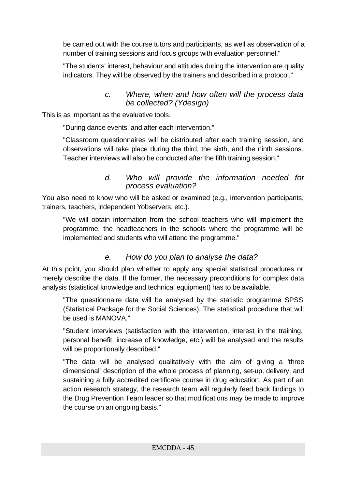be carried out with the course tutors and participants, as well as observation of a number of training sessions and focus groups with evaluation personnel."

"The students' interest, behaviour and attitudes during the intervention are quality indicators. They will be observed by the trainers and described in a protocol."

#### *c. Where, when and how often will the process data be collected? (Ydesign)*

This is as important as the evaluative tools.

"During dance events, and after each intervention."

"Classroom questionnaires will be distributed after each training session, and observations will take place during the third, the sixth, and the ninth sessions. Teacher interviews will also be conducted after the fifth training session."

#### *d. Who will provide the information needed for process evaluation?*

You also need to know who will be asked or examined (e.g., intervention participants, trainers, teachers, independent Yobservers, etc.).

"We will obtain information from the school teachers who will implement the programme, the headteachers in the schools where the programme will be implemented and students who will attend the programme."

### *e. How do you plan to analyse the data?*

At this point, you should plan whether to apply any special statistical procedures or merely describe the data. If the former, the necessary preconditions for complex data analysis (statistical knowledge and technical equipment) has to be available.

"The questionnaire data will be analysed by the statistic programme SPSS (Statistical Package for the Social Sciences). The statistical procedure that will be used is MANOVA."

"Student interviews (satisfaction with the intervention, interest in the training, personal benefit, increase of knowledge, etc.) will be analysed and the results will be proportionally described."

"The data will be analysed qualitatively with the aim of giving a 'three dimensional' description of the whole process of planning, set-up, delivery, and sustaining a fully accredited certificate course in drug education. As part of an action research strategy, the research team will regularly feed back findings to the Drug Prevention Team leader so that modifications may be made to improve the course on an ongoing basis."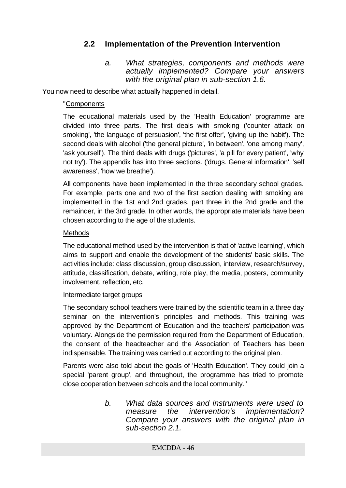### **2.2 Implementation of the Prevention Intervention**

*a. What strategies, components and methods were actually implemented? Compare your answers with the original plan in sub-section 1.6.*

You now need to describe what actually happened in detail.

#### "Components

The educational materials used by the 'Health Education' programme are divided into three parts. The first deals with smoking ('counter attack on smoking', 'the language of persuasion', 'the first offer', 'giving up the habit'). The second deals with alcohol ('the general picture', 'in between', 'one among many', 'ask yourself'). The third deals with drugs ('pictures', 'a pill for every patient', 'why not try'). The appendix has into three sections. ('drugs. General information', 'self awareness', 'how we breathe').

All components have been implemented in the three secondary school grades. For example, parts one and two of the first section dealing with smoking are implemented in the 1st and 2nd grades, part three in the 2nd grade and the remainder, in the 3rd grade. In other words, the appropriate materials have been chosen according to the age of the students.

#### **Methods**

The educational method used by the intervention is that of 'active learning', which aims to support and enable the development of the students' basic skills. The activities include: class discussion, group discussion, interview, research/survey, attitude, classification, debate, writing, role play, the media, posters, community involvement, reflection, etc.

#### Intermediate target groups

The secondary school teachers were trained by the scientific team in a three day seminar on the intervention's principles and methods. This training was approved by the Department of Education and the teachers' participation was voluntary. Alongside the permission required from the Department of Education, the consent of the headteacher and the Association of Teachers has been indispensable. The training was carried out according to the original plan.

Parents were also told about the goals of 'Health Education'. They could join a special 'parent group', and throughout, the programme has tried to promote close cooperation between schools and the local community."

> *b. What data sources and instruments were used to measure the intervention's implementation? Compare your answers with the original plan in sub-section 2.1.*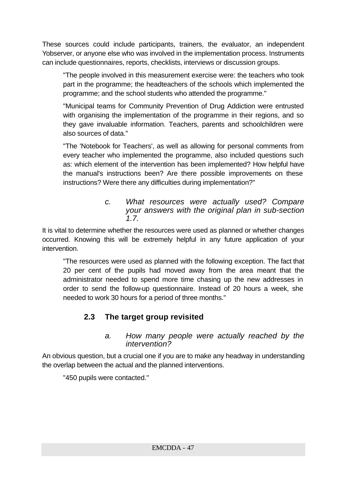These sources could include participants, trainers, the evaluator, an independent Yobserver, or anyone else who was involved in the implementation process. Instruments can include questionnaires, reports, checklists, interviews or discussion groups.

"The people involved in this measurement exercise were: the teachers who took part in the programme; the headteachers of the schools which implemented the programme; and the school students who attended the programme."

"Municipal teams for Community Prevention of Drug Addiction were entrusted with organising the implementation of the programme in their regions, and so they gave invaluable information. Teachers, parents and schoolchildren were also sources of data."

"The 'Notebook for Teachers', as well as allowing for personal comments from every teacher who implemented the programme, also included questions such as: which element of the intervention has been implemented? How helpful have the manual's instructions been? Are there possible improvements on these instructions? Were there any difficulties during implementation?"

#### *c. What resources were actually used? Compare your answers with the original plan in sub-section 1.7.*

It is vital to determine whether the resources were used as planned or whether changes occurred. Knowing this will be extremely helpful in any future application of your intervention.

"The resources were used as planned with the following exception. The fact that 20 per cent of the pupils had moved away from the area meant that the administrator needed to spend more time chasing up the new addresses in order to send the follow-up questionnaire. Instead of 20 hours a week, she needed to work 30 hours for a period of three months."

### **2.3 The target group revisited**

#### *a. How many people were actually reached by the intervention?*

An obvious question, but a crucial one if you are to make any headway in understanding the overlap between the actual and the planned interventions.

"450 pupils were contacted."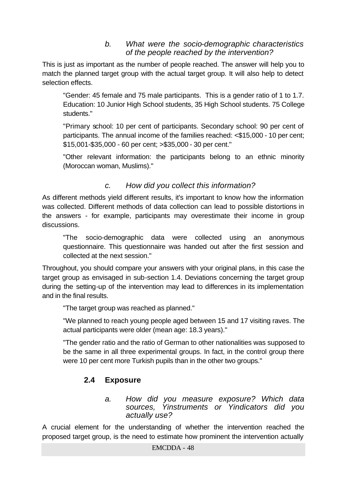### *b. What were the socio-demographic characteristics of the people reached by the intervention?*

This is just as important as the number of people reached. The answer will help you to match the planned target group with the actual target group. It will also help to detect selection effects.

"Gender: 45 female and 75 male participants. This is a gender ratio of 1 to 1.7. Education: 10 Junior High School students, 35 High School students. 75 College students."

"Primary school: 10 per cent of participants. Secondary school: 90 per cent of participants. The annual income of the families reached: <\$15,000 - 10 per cent; \$15,001-\$35,000 - 60 per cent; >\$35,000 - 30 per cent."

"Other relevant information: the participants belong to an ethnic minority (Moroccan woman, Muslims)."

### *c. How did you collect this information?*

As different methods yield different results, it's important to know how the information was collected. Different methods of data collection can lead to possible distortions in the answers - for example, participants may overestimate their income in group discussions.

"The socio-demographic data were collected using an anonymous questionnaire. This questionnaire was handed out after the first session and collected at the next session."

Throughout, you should compare your answers with your original plans, in this case the target group as envisaged in sub-section 1.4. Deviations concerning the target group during the setting-up of the intervention may lead to differences in its implementation and in the final results.

"The target group was reached as planned."

"We planned to reach young people aged between 15 and 17 visiting raves. The actual participants were older (mean age: 18.3 years)."

"The gender ratio and the ratio of German to other nationalities was supposed to be the same in all three experimental groups. In fact, in the control group there were 10 per cent more Turkish pupils than in the other two groups."

### **2.4 Exposure**

*a. How did you measure exposure? Which data sources, Yinstruments or Yindicators did you actually use?*

A crucial element for the understanding of whether the intervention reached the proposed target group, is the need to estimate how prominent the intervention actually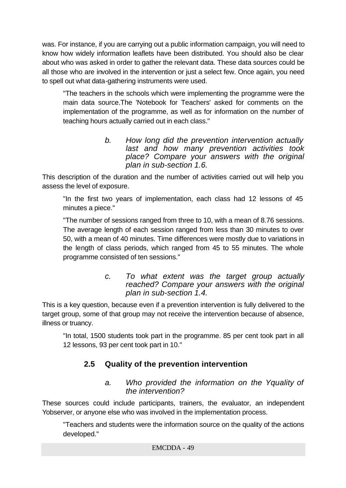was. For instance, if you are carrying out a public information campaign, you will need to know how widely information leaflets have been distributed. You should also be clear about who was asked in order to gather the relevant data. These data sources could be all those who are involved in the intervention or just a select few. Once again, you need to spell out what data-gathering instruments were used.

"The teachers in the schools which were implementing the programme were the main data source.The 'Notebook for Teachers' asked for comments on the implementation of the programme, as well as for information on the number of teaching hours actually carried out in each class."

> *b. How long did the prevention intervention actually last and how many prevention activities took place? Compare your answers with the original plan in sub-section 1.6.*

This description of the duration and the number of activities carried out will help you assess the level of exposure.

"In the first two years of implementation, each class had 12 lessons of 45 minutes a piece."

"The number of sessions ranged from three to 10, with a mean of 8.76 sessions. The average length of each session ranged from less than 30 minutes to over 50, with a mean of 40 minutes. Time differences were mostly due to variations in the length of class periods, which ranged from 45 to 55 minutes. The whole programme consisted of ten sessions."

#### *c. To what extent was the target group actually reached? Compare your answers with the original plan in sub-section 1.4.*

This is a key question, because even if a prevention intervention is fully delivered to the target group, some of that group may not receive the intervention because of absence, illness or truancy.

"In total, 1500 students took part in the programme. 85 per cent took part in all 12 lessons, 93 per cent took part in 10."

### **2.5 Quality of the prevention intervention**

### *a. Who provided the information on the Yquality of the intervention?*

These sources could include participants, trainers, the evaluator, an independent Yobserver, or anyone else who was involved in the implementation process.

"Teachers and students were the information source on the quality of the actions developed."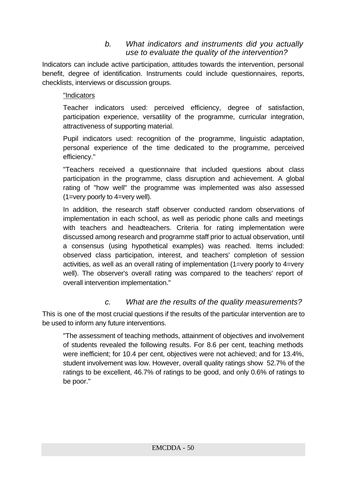### *b. What indicators and instruments did you actually use to evaluate the quality of the intervention?*

Indicators can include active participation, attitudes towards the intervention, personal benefit, degree of identification. Instruments could include questionnaires, reports, checklists, interviews or discussion groups.

#### "Indicators

Teacher indicators used: perceived efficiency, degree of satisfaction, participation experience, versatility of the programme, curricular integration, attractiveness of supporting material.

Pupil indicators used: recognition of the programme, linguistic adaptation, personal experience of the time dedicated to the programme, perceived efficiency."

"Teachers received a questionnaire that included questions about class participation in the programme, class disruption and achievement. A global rating of "how well" the programme was implemented was also assessed (1=very poorly to 4=very well).

In addition, the research staff observer conducted random observations of implementation in each school, as well as periodic phone calls and meetings with teachers and headteachers. Criteria for rating implementation were discussed among research and programme staff prior to actual observation, until a consensus (using hypothetical examples) was reached. Items included: observed class participation, interest, and teachers' completion of session activities, as well as an overall rating of implementation (1=very poorly to 4=very well). The observer's overall rating was compared to the teachers' report of overall intervention implementation."

### *c. What are the results of the quality measurements?*

This is one of the most crucial questions if the results of the particular intervention are to be used to inform any future interventions.

"The assessment of teaching methods, attainment of objectives and involvement of students revealed the following results. For 8.6 per cent, teaching methods were inefficient; for 10.4 per cent, objectives were not achieved; and for 13.4%, student involvement was low. However, overall quality ratings show 52.7% of the ratings to be excellent, 46.7% of ratings to be good, and only 0.6% of ratings to be poor."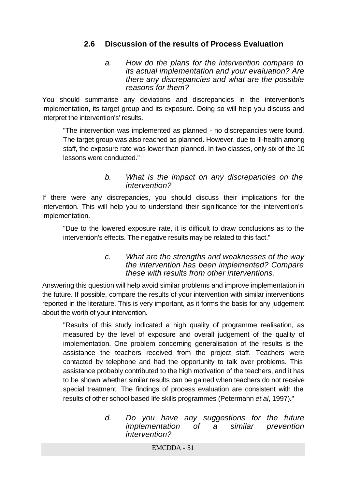### **2.6 Discussion of the results of Process Evaluation**

*a. How do the plans for the intervention compare to its actual implementation and your evaluation? Are there any discrepancies and what are the possible reasons for them?*

You should summarise any deviations and discrepancies in the intervention's implementation, its target group and its exposure. Doing so will help you discuss and interpret the intervention's' results.

"The intervention was implemented as planned - no discrepancies were found. The target group was also reached as planned. However, due to ill-health among staff, the exposure rate was lower than planned. In two classes, only six of the 10 lessons were conducted."

#### *b. What is the impact on any discrepancies on the intervention?*

If there were any discrepancies, you should discuss their implications for the intervention. This will help you to understand their significance for the intervention's implementation.

"Due to the lowered exposure rate, it is difficult to draw conclusions as to the intervention's effects. The negative results may be related to this fact."

#### *c. What are the strengths and weaknesses of the way the intervention has been implemented? Compare these with results from other interventions.*

Answering this question will help avoid similar problems and improve implementation in the future. If possible, compare the results of your intervention with similar interventions reported in the literature. This is very important, as it forms the basis for any judgement about the worth of your intervention.

"Results of this study indicated a high quality of programme realisation, as measured by the level of exposure and overall judgement of the quality of implementation. One problem concerning generalisation of the results is the assistance the teachers received from the project staff. Teachers were contacted by telephone and had the opportunity to talk over problems. This assistance probably contributed to the high motivation of the teachers, and it has to be shown whether similar results can be gained when teachers do not receive special treatment. The findings of process evaluation are consistent with the results of other school based life skills programmes (Petermann *et al*, 1997)*.*"

> *d. Do you have any suggestions for the future implementation of a similar prevention intervention?*

> > EMCDDA - 51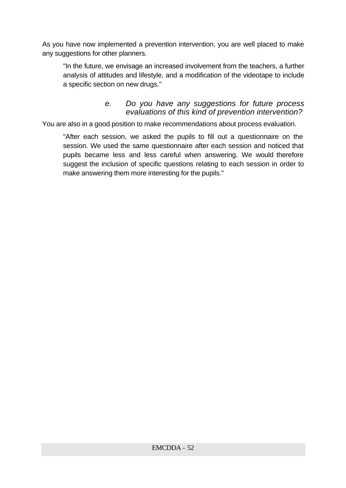As you have now implemented a prevention intervention, you are well placed to make any suggestions for other planners.

"In the future, we envisage an increased involvement from the teachers, a further analysis of attitudes and lifestyle, and a modification of the videotape to include a specific section on new drugs."

### *e. Do you have any suggestions for future process evaluations of this kind of prevention intervention?*

You are also in a good position to make recommendations about process evaluation.

"After each session, we asked the pupils to fill out a questionnaire on the session. We used the same questionnaire after each session and noticed that pupils became less and less careful when answering. We would therefore suggest the inclusion of specific questions relating to each session in order to make answering them more interesting for the pupils."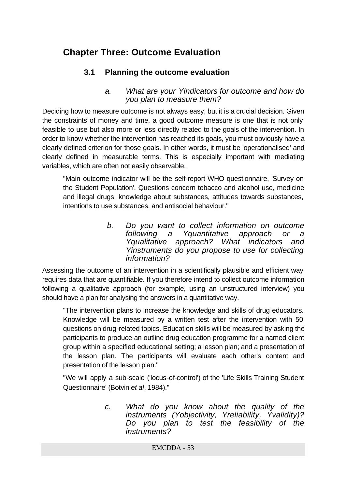# **Chapter Three: Outcome Evaluation**

### **3.1 Planning the outcome evaluation**

#### *a. What are your Yindicators for outcome and how do you plan to measure them?*

Deciding how to measure outcome is not always easy, but it is a crucial decision. Given the constraints of money and time, a good outcome measure is one that is not only feasible to use but also more or less directly related to the goals of the intervention. In order to know whether the intervention has reached its goals, you must obviously have a clearly defined criterion for those goals. In other words, it must be 'operationalised' and clearly defined in measurable terms. This is especially important with mediating variables, which are often not easily observable.

"Main outcome indicator will be the self-report WHO questionnaire, 'Survey on the Student Population'. Questions concern tobacco and alcohol use, medicine and illegal drugs, knowledge about substances, attitudes towards substances, intentions to use substances, and antisocial behaviour."

> *b. Do you want to collect information on outcome following a Yquantitative approach or a Yqualitative approach? What indicators and Yinstruments do you propose to use for collecting information?*

Assessing the outcome of an intervention in a scientifically plausible and efficient way requires data that are quantifiable. If you therefore intend to collect outcome information following a qualitative approach (for example, using an unstructured interview) you should have a plan for analysing the answers in a quantitative way.

"The intervention plans to increase the knowledge and skills of drug educators. Knowledge will be measured by a written test after the intervention with 50 questions on drug-related topics. Education skills will be measured by asking the participants to produce an outline drug education programme for a named client group within a specified educational setting; a lesson plan; and a presentation of the lesson plan. The participants will evaluate each other's content and presentation of the lesson plan."

"We will apply a sub-scale ('locus-of-control') of the 'Life Skills Training Student Questionnaire' (Botvin *et al*, 1984)."

> *c. What do you know about the quality of the instruments (Yobjectivity, Yreliability, Yvalidity)? Do you plan to test the feasibility of the instruments?*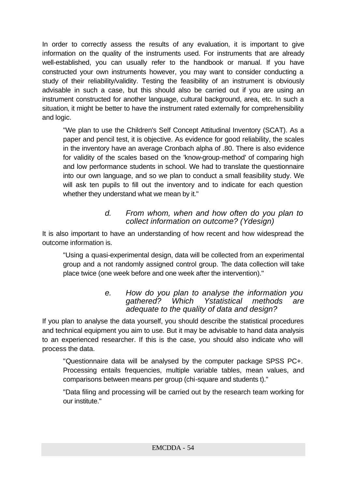In order to correctly assess the results of any evaluation, it is important to give information on the quality of the instruments used. For instruments that are already well-established, you can usually refer to the handbook or manual. If you have constructed your own instruments however, you may want to consider conducting a study of their reliability/validity. Testing the feasibility of an instrument is obviously advisable in such a case, but this should also be carried out if you are using an instrument constructed for another language, cultural background, area, etc. In such a situation, it might be better to have the instrument rated externally for comprehensibility and logic.

"We plan to use the Children's Self Concept Attitudinal Inventory (SCAT). As a paper and pencil test, it is objective. As evidence for good reliability, the scales in the inventory have an average Cronbach alpha of .80. There is also evidence for validity of the scales based on the 'know-group-method' of comparing high and low performance students in school. We had to translate the questionnaire into our own language, and so we plan to conduct a small feasibility study. We will ask ten pupils to fill out the inventory and to indicate for each question whether they understand what we mean by it."

#### *d. From whom, when and how often do you plan to collect information on outcome? (Ydesign)*

It is also important to have an understanding of how recent and how widespread the outcome information is.

"Using a quasi-experimental design, data will be collected from an experimental group and a not randomly assigned control group. The data collection will take place twice (one week before and one week after the intervention)."

#### *e. How do you plan to analyse the information you gathered? Which Ystatistical methods are adequate to the quality of data and design?*

If you plan to analyse the data yourself, you should describe the statistical procedures and technical equipment you aim to use. But it may be advisable to hand data analysis to an experienced researcher. If this is the case, you should also indicate who will process the data.

"Questionnaire data will be analysed by the computer package SPSS PC+. Processing entails frequencies, multiple variable tables, mean values, and comparisons between means per group (chi-square and students t)."

"Data filing and processing will be carried out by the research team working for our institute."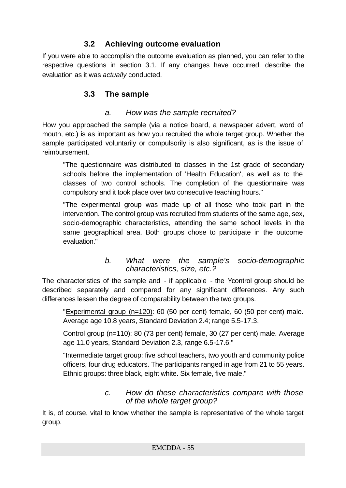### **3.2 Achieving outcome evaluation**

If you were able to accomplish the outcome evaluation as planned, you can refer to the respective questions in section 3.1. If any changes have occurred, describe the evaluation as it was *actually* conducted.

### **3.3 The sample**

### *a. How was the sample recruited?*

How you approached the sample (via a notice board, a newspaper advert, word of mouth, etc.) is as important as how you recruited the whole target group. Whether the sample participated voluntarily or compulsorily is also significant, as is the issue of reimbursement.

"The questionnaire was distributed to classes in the 1st grade of secondary schools before the implementation of 'Health Education', as well as to the classes of two control schools. The completion of the questionnaire was compulsory and it took place over two consecutive teaching hours."

"The experimental group was made up of all those who took part in the intervention. The control group was recruited from students of the same age, sex, socio-demographic characteristics, attending the same school levels in the same geographical area. Both groups chose to participate in the outcome evaluation."

### *b. What were the sample's socio-demographic characteristics, size, etc.?*

The characteristics of the sample and - if applicable - the Ycontrol group should be described separately and compared for any significant differences. Any such differences lessen the degree of comparability between the two groups.

"Experimental group (n=120): 60 (50 per cent) female, 60 (50 per cent) male. Average age 10.8 years, Standard Deviation 2.4; range 5.5-17.3.

Control group (n=110): 80 (73 per cent) female, 30 (27 per cent) male. Average age 11.0 years, Standard Deviation 2.3, range 6.5-17.6."

"Intermediate target group: five school teachers, two youth and community police officers, four drug educators. The participants ranged in age from 21 to 55 years. Ethnic groups: three black, eight white. Six female, five male."

### *c. How do these characteristics compare with those of the whole target group?*

It is, of course, vital to know whether the sample is representative of the whole target group.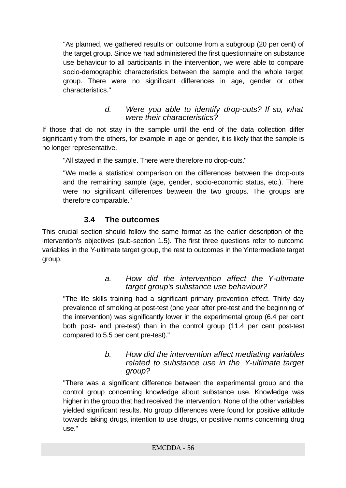"As planned, we gathered results on outcome from a subgroup (20 per cent) of the target group. Since we had administered the first questionnaire on substance use behaviour to all participants in the intervention, we were able to compare socio-demographic characteristics between the sample and the whole target group. There were no significant differences in age, gender or other characteristics."

### *d. Were you able to identify drop-outs? If so, what were their characteristics?*

If those that do not stay in the sample until the end of the data collection differ significantly from the others, for example in age or gender, it is likely that the sample is no longer representative.

"All stayed in the sample. There were therefore no drop-outs."

"We made a statistical comparison on the differences between the drop-outs and the remaining sample (age, gender, socio-economic status, etc.). There were no significant differences between the two groups. The groups are therefore comparable."

### **3.4 The outcomes**

This crucial section should follow the same format as the earlier description of the intervention's objectives (sub-section 1.5). The first three questions refer to outcome variables in the Y-ultimate target group, the rest to outcomes in the Yintermediate target group.

### *a. How did the intervention affect the Y-ultimate target group's substance use behaviour?*

"The life skills training had a significant primary prevention effect. Thirty day prevalence of smoking at post-test (one year after pre-test and the beginning of the intervention) was significantly lower in the experimental group (6.4 per cent both post- and pre-test) than in the control group (11.4 per cent post-test compared to 5.5 per cent pre-test)."

#### *b. How did the intervention affect mediating variables related to substance use in the Y-ultimate target group?*

"There was a significant difference between the experimental group and the control group concerning knowledge about substance use. Knowledge was higher in the group that had received the intervention. None of the other variables yielded significant results. No group differences were found for positive attitude towards taking drugs, intention to use drugs, or positive norms concerning drug use."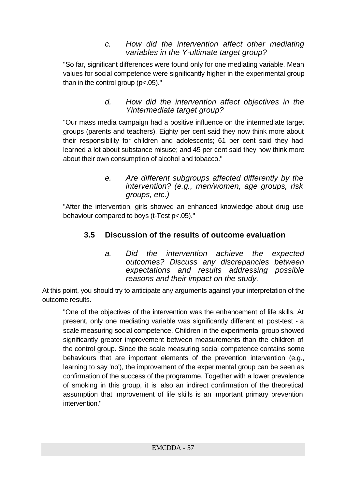### *c. How did the intervention affect other mediating variables in the Y-ultimate target group?*

"So far, significant differences were found only for one mediating variable. Mean values for social competence were significantly higher in the experimental group than in the control group (p<.05)."

> *d. How did the intervention affect objectives in the Yintermediate target group?*

"Our mass media campaign had a positive influence on the intermediate target groups (parents and teachers). Eighty per cent said they now think more about their responsibility for children and adolescents; 61 per cent said they had learned a lot about substance misuse; and 45 per cent said they now think more about their own consumption of alcohol and tobacco."

> *e. Are different subgroups affected differently by the intervention? (e.g., men/women, age groups, risk groups, etc.)*

"After the intervention, girls showed an enhanced knowledge about drug use behaviour compared to boys (t-Test p<.05)."

### **3.5 Discussion of the results of outcome evaluation**

*a. Did the intervention achieve the expected outcomes? Discuss any discrepancies between expectations and results addressing possible reasons and their impact on the study.*

At this point, you should try to anticipate any arguments against your interpretation of the outcome results.

"One of the objectives of the intervention was the enhancement of life skills. At present, only one mediating variable was significantly different at post-test - a scale measuring social competence. Children in the experimental group showed significantly greater improvement between measurements than the children of the control group. Since the scale measuring social competence contains some behaviours that are important elements of the prevention intervention (e.g., learning to say 'no'), the improvement of the experimental group can be seen as confirmation of the success of the programme. Together with a lower prevalence of smoking in this group, it is also an indirect confirmation of the theoretical assumption that improvement of life skills is an important primary prevention intervention."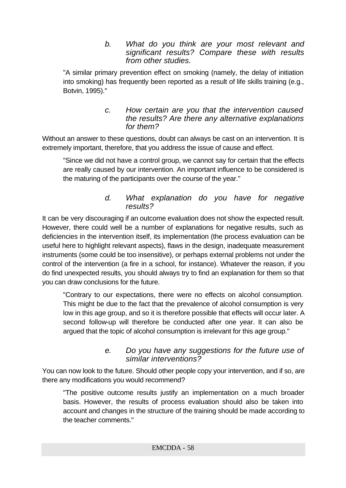*b. What do you think are your most relevant and significant results? Compare these with results from other studies.*

"A similar primary prevention effect on smoking (namely, the delay of initiation into smoking) has frequently been reported as a result of life skills training (e.g., Botvin, 1995)."

#### *c. How certain are you that the intervention caused the results? Are there any alternative explanations for them?*

Without an answer to these questions, doubt can always be cast on an intervention. It is extremely important, therefore, that you address the issue of cause and effect.

"Since we did not have a control group, we cannot say for certain that the effects are really caused by our intervention. An important influence to be considered is the maturing of the participants over the course of the year."

### *d. What explanation do you have for negative results?*

It can be very discouraging if an outcome evaluation does not show the expected result. However, there could well be a number of explanations for negative results, such as deficiencies in the intervention itself, its implementation (the process evaluation can be useful here to highlight relevant aspects), flaws in the design, inadequate measurement instruments (some could be too insensitive), or perhaps external problems not under the control of the intervention (a fire in a school, for instance). Whatever the reason, if you do find unexpected results, you should always try to find an explanation for them so that you can draw conclusions for the future.

"Contrary to our expectations, there were no effects on alcohol consumption. This might be due to the fact that the prevalence of alcohol consumption is very low in this age group, and so it is therefore possible that effects will occur later. A second follow-up will therefore be conducted after one year. It can also be argued that the topic of alcohol consumption is irrelevant for this age group."

### *e. Do you have any suggestions for the future use of similar interventions?*

You can now look to the future. Should other people copy your intervention, and if so, are there any modifications you would recommend?

"The positive outcome results justify an implementation on a much broader basis. However, the results of process evaluation should also be taken into account and changes in the structure of the training should be made according to the teacher comments."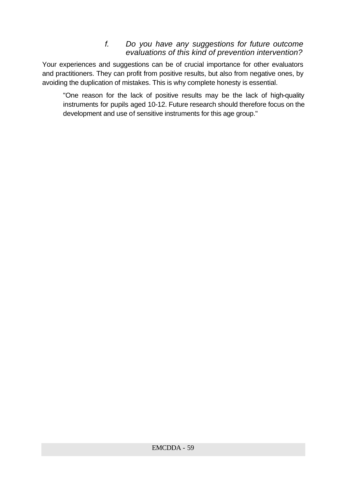### *f. Do you have any suggestions for future outcome evaluations of this kind of prevention intervention?*

Your experiences and suggestions can be of crucial importance for other evaluators and practitioners. They can profit from positive results, but also from negative ones, by avoiding the duplication of mistakes. This is why complete honesty is essential.

"One reason for the lack of positive results may be the lack of high-quality instruments for pupils aged 10-12. Future research should therefore focus on the development and use of sensitive instruments for this age group."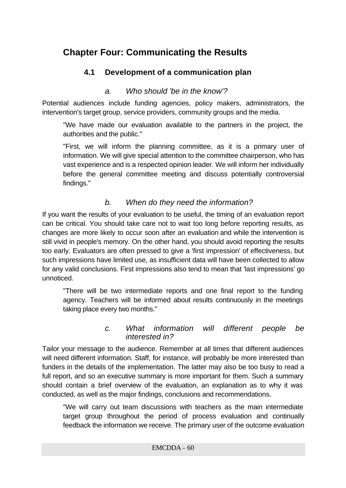# **Chapter Four: Communicating the Results**

### **4.1 Development of a communication plan**

### *a. Who should 'be in the know'?*

Potential audiences include funding agencies, policy makers, administrators, the intervention's target group, service providers, community groups and the media.

"We have made our evaluation available to the partners in the project, the authorities and the public."

"First, we will inform the planning committee, as it is a primary user of information. We will give special attention to the committee chairperson, who has vast experience and is a respected opinion leader. We will inform her individually before the general committee meeting and discuss potentially controversial findings."

### *b. When do they need the information?*

If you want the results of your evaluation to be useful, the timing of an evaluation report can be critical. You should take care not to wait too long before reporting results, as changes are more likely to occur soon after an evaluation and while the intervention is still vivid in people's memory. On the other hand, you should avoid reporting the results too early. Evaluators are often pressed to give a 'first impression' of effectiveness, but such impressions have limited use, as insufficient data will have been collected to allow for any valid conclusions. First impressions also tend to mean that 'last impressions' go unnoticed.

"There will be two intermediate reports and one final report to the funding agency. Teachers will be informed about results continuously in the meetings taking place every two months."

#### *c. What information will different people be interested in?*

Tailor your message to the audience. Remember at all times that different audiences will need different information. Staff, for instance, will probably be more interested than funders in the details of the implementation. The latter may also be too busy to read a full report, and so an executive summary is more important for them. Such a summary should contain a brief overview of the evaluation, an explanation as to why it was conducted, as well as the major findings, conclusions and recommendations.

"We will carry out team discussions with teachers as the main intermediate target group throughout the period of process evaluation and continually feedback the information we receive. The primary user of the outcome evaluation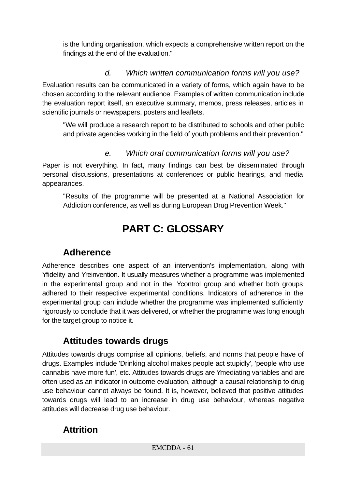is the funding organisation, which expects a comprehensive written report on the findings at the end of the evaluation."

### *d. Which written communication forms will you use?*

Evaluation results can be communicated in a variety of forms, which again have to be chosen according to the relevant audience. Examples of written communication include the evaluation report itself, an executive summary, memos, press releases, articles in scientific journals or newspapers, posters and leaflets.

"We will produce a research report to be distributed to schools and other public and private agencies working in the field of youth problems and their prevention."

### *e. Which oral communication forms will you use?*

Paper is not everything. In fact, many findings can best be disseminated through personal discussions, presentations at conferences or public hearings, and media appearances.

"Results of the programme will be presented at a National Association for Addiction conference, as well as during European Drug Prevention Week."

# **PART C: GLOSSARY**

## **Adherence**

Adherence describes one aspect of an intervention's implementation, along with Yfidelity and Yreinvention. It usually measures whether a programme was implemented in the experimental group and not in the Ycontrol group and whether both groups adhered to their respective experimental conditions. Indicators of adherence in the experimental group can include whether the programme was implemented sufficiently rigorously to conclude that it was delivered, or whether the programme was long enough for the target group to notice it.

## **Attitudes towards drugs**

Attitudes towards drugs comprise all opinions, beliefs, and norms that people have of drugs. Examples include 'Drinking alcohol makes people act stupidly', 'people who use cannabis have more fun', etc. Attitudes towards drugs are Ymediating variables and are often used as an indicator in outcome evaluation, although a causal relationship to drug use behaviour cannot always be found. It is, however, believed that positive attitudes towards drugs will lead to an increase in drug use behaviour, whereas negative attitudes will decrease drug use behaviour.

## **Attrition**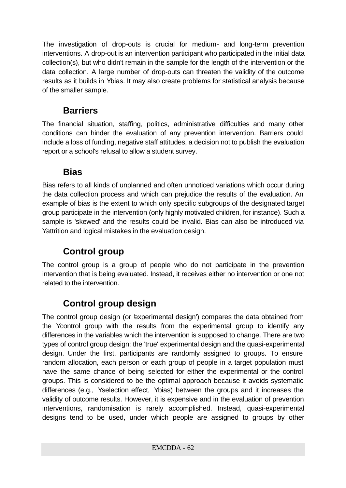The investigation of drop-outs is crucial for medium- and long-term prevention interventions. A drop-out is an intervention participant who participated in the initial data collection(s), but who didn't remain in the sample for the length of the intervention or the data collection. A large number of drop-outs can threaten the validity of the outcome results as it builds in Ybias. It may also create problems for statistical analysis because of the smaller sample.

## **Barriers**

The financial situation, staffing, politics, administrative difficulties and many other conditions can hinder the evaluation of any prevention intervention. Barriers could include a loss of funding, negative staff attitudes, a decision not to publish the evaluation report or a school's refusal to allow a student survey.

## **Bias**

Bias refers to all kinds of unplanned and often unnoticed variations which occur during the data collection process and which can prejudice the results of the evaluation. An example of bias is the extent to which only specific subgroups of the designated target group participate in the intervention (only highly motivated children, for instance). Such a sample is 'skewed' and the results could be invalid. Bias can also be introduced via Yattrition and logical mistakes in the evaluation design.

# **Control group**

The control group is a group of people who do not participate in the prevention intervention that is being evaluated. Instead, it receives either no intervention or one not related to the intervention.

# **Control group design**

The control group design (or 'experimental design') compares the data obtained from the Ycontrol group with the results from the experimental group to identify any differences in the variables which the intervention is supposed to change. There are two types of control group design: the 'true' experimental design and the quasi-experimental design. Under the first, participants are randomly assigned to groups. To ensure random allocation, each person or each group of people in a target population must have the same chance of being selected for either the experimental or the control groups. This is considered to be the optimal approach because it avoids systematic differences (e.g., Yselection effect, Ybias) between the groups and it increases the validity of outcome results. However, it is expensive and in the evaluation of prevention interventions, randomisation is rarely accomplished. Instead, quasi-experimental designs tend to be used, under which people are assigned to groups by other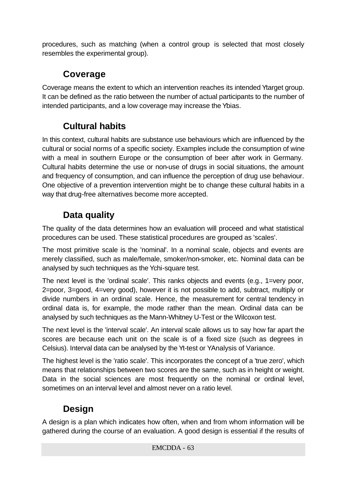procedures, such as matching (when a control group is selected that most closely resembles the experimental group).

# **Coverage**

Coverage means the extent to which an intervention reaches its intended Ytarget group. It can be defined as the ratio between the number of actual participants to the number of intended participants, and a low coverage may increase the Ybias.

# **Cultural habits**

In this context, cultural habits are substance use behaviours which are influenced by the cultural or social norms of a specific society. Examples include the consumption of wine with a meal in southern Europe or the consumption of beer after work in Germany. Cultural habits determine the use or non-use of drugs in social situations, the amount and frequency of consumption, and can influence the perception of drug use behaviour. One objective of a prevention intervention might be to change these cultural habits in a way that drug-free alternatives become more accepted.

# **Data quality**

The quality of the data determines how an evaluation will proceed and what statistical procedures can be used. These statistical procedures are grouped as 'scales'.

The most primitive scale is the 'nominal'. In a nominal scale, objects and events are merely classified, such as male/female, smoker/non-smoker, etc. Nominal data can be analysed by such techniques as the Ychi-square test.

The next level is the 'ordinal scale'. This ranks objects and events (e.g., 1=very poor, 2=poor, 3=good, 4=very good), however it is not possible to add, subtract, multiply or divide numbers in an ordinal scale. Hence, the measurement for central tendency in ordinal data is, for example, the mode rather than the mean. Ordinal data can be analysed by such techniques as the Mann-Whitney U-Test or the Wilcoxon test.

The next level is the 'interval scale'. An interval scale allows us to say how far apart the scores are because each unit on the scale is of a fixed size (such as degrees in Celsius). Interval data can be analysed by the Yt-test or YAnalysis of Variance.

The highest level is the 'ratio scale'. This incorporates the concept of a 'true zero', which means that relationships between two scores are the same, such as in height or weight. Data in the social sciences are most frequently on the nominal or ordinal level, sometimes on an interval level and almost never on a ratio level.

# **Design**

A design is a plan which indicates how often, when and from whom information will be gathered during the course of an evaluation. A good design is essential if the results of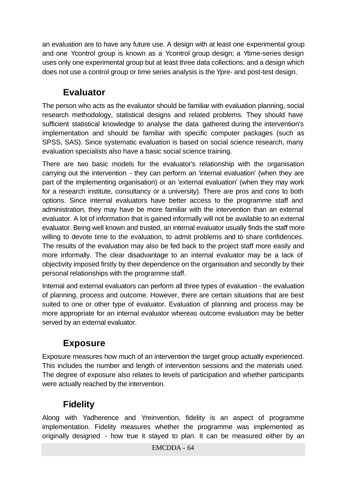an evaluation are to have any future use. A design with at least one experimental group and one Ycontrol group is known as a Ycontrol group design; a Ytime-series design uses only one experimental group but at least three data collections; and a design which does not use a control group or time series analysis is the Ypre- and post-test design.

# **Evaluator**

The person who acts as the evaluator should be familiar with evaluation planning, social research methodology, statistical designs and related problems. They should have sufficient statistical knowledge to analyse the data gathered during the intervention's implementation and should be familiar with specific computer packages (such as SPSS, SAS). Since systematic evaluation is based on social science research, many evaluation specialists also have a basic social science training.

There are two basic models for the evaluator's relationship with the organisation carrying out the intervention - they can perform an 'internal evaluation' (when they are part of the implementing organisation) or an 'external evaluation' (when they may work for a research institute, consultancy or a university). There are pros and cons to both options. Since internal evaluators have better access to the programme staff and administration, they may have be more familiar with the intervention than an external evaluator. A lot of information that is gained informally will not be available to an external evaluator. Being well known and trusted, an internal evaluator usually finds the staff more willing to devote time to the evaluation, to admit problems and to share confidences. The results of the evaluation may also be fed back to the project staff more easily and more informally. The clear disadvantage to an internal evaluator may be a lack of objectivity imposed firstly by their dependence on the organisation and secondly by their personal relationships with the programme staff.

Internal and external evaluators can perform all three types of evaluation - the evaluation of planning, process and outcome. However, there are certain situations that are best suited to one or other type of evaluator. Evaluation of planning and process may be more appropriate for an internal evaluator whereas outcome evaluation may be better served by an external evaluator.

# **Exposure**

Exposure measures how much of an intervention the target group actually experienced. This includes the number and length of intervention sessions and the materials used. The degree of exposure also relates to levels of participation and whether participants were actually reached by the intervention.

# **Fidelity**

Along with Yadherence and Yreinvention, fidelity is an aspect of programme implementation. Fidelity measures whether the programme was implemented as originally designed - how true it stayed to plan. It can be measured either by an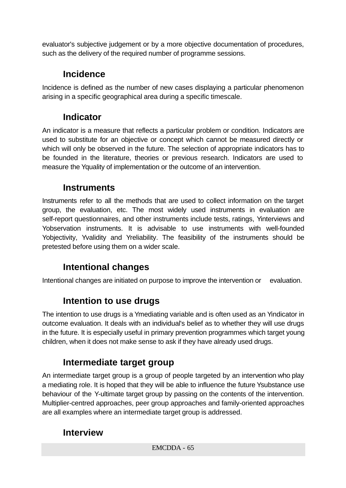evaluator's subjective judgement or by a more objective documentation of procedures, such as the delivery of the required number of programme sessions.

# **Incidence**

Incidence is defined as the number of new cases displaying a particular phenomenon arising in a specific geographical area during a specific timescale.

# **Indicator**

An indicator is a measure that reflects a particular problem or condition. Indicators are used to substitute for an objective or concept which cannot be measured directly or which will only be observed in the future. The selection of appropriate indicators has to be founded in the literature, theories or previous research. Indicators are used to measure the Yquality of implementation or the outcome of an intervention.

## **Instruments**

Instruments refer to all the methods that are used to collect information on the target group, the evaluation, etc. The most widely used instruments in evaluation are self-report questionnaires, and other instruments include tests, ratings, Yinterviews and Yobservation instruments. It is advisable to use instruments with well-founded Yobjectivity, Yvalidity and Yreliability. The feasibility of the instruments should be pretested before using them on a wider scale.

# **Intentional changes**

Intentional changes are initiated on purpose to improve the intervention or evaluation.

# **Intention to use drugs**

The intention to use drugs is a Ymediating variable and is often used as an Yindicator in outcome evaluation. It deals with an individual's belief as to whether they will use drugs in the future. It is especially useful in primary prevention programmes which target young children, when it does not make sense to ask if they have already used drugs.

# **Intermediate target group**

An intermediate target group is a group of people targeted by an intervention who play a mediating role. It is hoped that they will be able to influence the future Ysubstance use behaviour of the Y-ultimate target group by passing on the contents of the intervention. Multiplier-centred approaches, peer group approaches and family-oriented approaches are all examples where an intermediate target group is addressed.

## **Interview**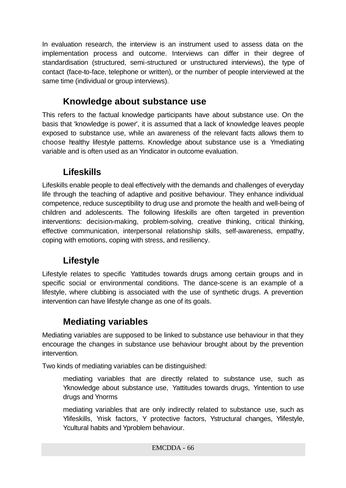In evaluation research, the interview is an instrument used to assess data on the implementation process and outcome. Interviews can differ in their degree of standardisation (structured, semi-structured or unstructured interviews), the type of contact (face-to-face, telephone or written), or the number of people interviewed at the same time (individual or group interviews).

## **Knowledge about substance use**

This refers to the factual knowledge participants have about substance use. On the basis that 'knowledge is power', it is assumed that a lack of knowledge leaves people exposed to substance use, while an awareness of the relevant facts allows them to choose healthy lifestyle patterns. Knowledge about substance use is a Ymediating variable and is often used as an Yindicator in outcome evaluation.

# **Lifeskills**

Lifeskills enable people to deal effectively with the demands and challenges of everyday life through the teaching of adaptive and positive behaviour. They enhance individual competence, reduce susceptibility to drug use and promote the health and well-being of children and adolescents. The following lifeskills are often targeted in prevention interventions: decision-making, problem-solving, creative thinking, critical thinking, effective communication, interpersonal relationship skills, self-awareness, empathy, coping with emotions, coping with stress, and resiliency.

# **Lifestyle**

Lifestyle relates to specific Yattitudes towards drugs among certain groups and in specific social or environmental conditions. The dance-scene is an example of a lifestyle, where clubbing is associated with the use of synthetic drugs. A prevention intervention can have lifestyle change as one of its goals.

# **Mediating variables**

Mediating variables are supposed to be linked to substance use behaviour in that they encourage the changes in substance use behaviour brought about by the prevention intervention.

Two kinds of mediating variables can be distinguished:

mediating variables that are directly related to substance use, such as Yknowledge about substance use, Yattitudes towards drugs, Yintention to use drugs and Ynorms

mediating variables that are only indirectly related to substance use, such as Ylifeskills, Yrisk factors, Y protective factors, Ystructural changes, Ylifestyle, Ycultural habits and Yproblem behaviour.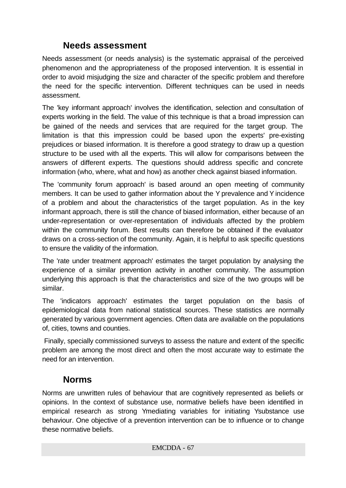## **Needs assessment**

Needs assessment (or needs analysis) is the systematic appraisal of the perceived phenomenon and the appropriateness of the proposed intervention. It is essential in order to avoid misjudging the size and character of the specific problem and therefore the need for the specific intervention. Different techniques can be used in needs assessment.

The 'key informant approach' involves the identification, selection and consultation of experts working in the field. The value of this technique is that a broad impression can be gained of the needs and services that are required for the target group. The limitation is that this impression could be based upon the experts' pre-existing prejudices or biased information. It is therefore a good strategy to draw up a question structure to be used with all the experts. This will allow for comparisons between the answers of different experts. The questions should address specific and concrete information (who, where, what and how) as another check against biased information.

The 'community forum approach' is based around an open meeting of community members. It can be used to gather information about the Y prevalence and Y incidence of a problem and about the characteristics of the target population. As in the key informant approach, there is still the chance of biased information, either because of an under-representation or over-representation of individuals affected by the problem within the community forum. Best results can therefore be obtained if the evaluator draws on a cross-section of the community. Again, it is helpful to ask specific questions to ensure the validity of the information.

The 'rate under treatment approach' estimates the target population by analysing the experience of a similar prevention activity in another community. The assumption underlying this approach is that the characteristics and size of the two groups will be similar.

The 'indicators approach' estimates the target population on the basis of epidemiological data from national statistical sources. These statistics are normally generated by various government agencies. Often data are available on the populations of, cities, towns and counties.

 Finally, specially commissioned surveys to assess the nature and extent of the specific problem are among the most direct and often the most accurate way to estimate the need for an intervention.

### **Norms**

Norms are unwritten rules of behaviour that are cognitively represented as beliefs or opinions. In the context of substance use, normative beliefs have been identified in empirical research as strong Ymediating variables for initiating Ysubstance use behaviour. One objective of a prevention intervention can be to influence or to change these normative beliefs.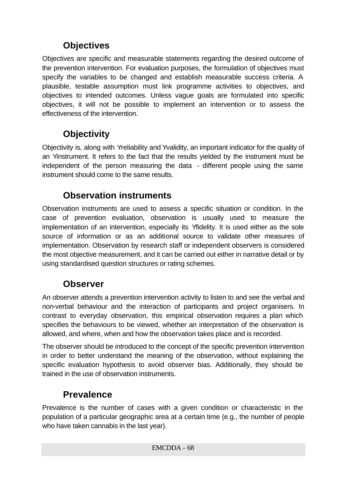# **Objectives**

Objectives are specific and measurable statements regarding the desired outcome of the prevention intervention. For evaluation purposes, the formulation of objectives must specify the variables to be changed and establish measurable success criteria. A plausible, testable assumption must link programme activities to objectives, and objectives to intended outcomes. Unless vague goals are formulated into specific objectives, it will not be possible to implement an intervention or to assess the effectiveness of the intervention.

# **Objectivity**

Objectivity is, along with Yreliability and Yvalidity, an important indicator for the quality of an Yinstrument. It refers to the fact that the results yielded by the instrument must be independent of the person measuring the data - different people using the same instrument should come to the same results.

## **Observation instruments**

Observation instruments are used to assess a specific situation or condition. In the case of prevention evaluation, observation is usually used to measure the implementation of an intervention, especially its Yfidelity. It is used either as the sole source of information or as an additional source to validate other measures of implementation. Observation by research staff or independent observers is considered the most objective measurement, and it can be carried out either in narrative detail or by using standardised question structures or rating schemes.

### **Observer**

An observer attends a prevention intervention activity to listen to and see the verbal and non-verbal behaviour and the interaction of participants and project organisers. In contrast to everyday observation, this empirical observation requires a plan which specifies the behaviours to be viewed, whether an interpretation of the observation is allowed, and where, when and how the observation takes place and is recorded.

The observer should be introduced to the concept of the specific prevention intervention in order to better understand the meaning of the observation, without explaining the specific evaluation hypothesis to avoid observer bias. Additionally, they should be trained in the use of observation instruments.

# **Prevalence**

Prevalence is the number of cases with a given condition or characteristic in the population of a particular geographic area at a certain time (e.g., the number of people who have taken cannabis in the last year).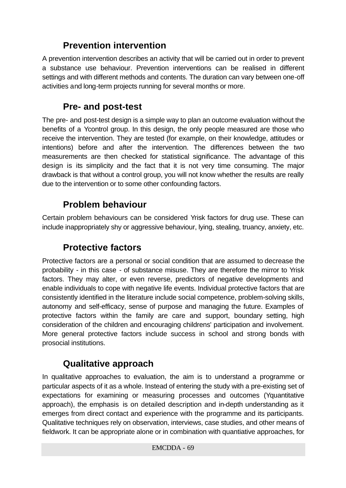# **Prevention intervention**

A prevention intervention describes an activity that will be carried out in order to prevent a substance use behaviour. Prevention interventions can be realised in different settings and with different methods and contents. The duration can vary between one-off activities and long-term projects running for several months or more.

### **Pre- and post-test**

The pre- and post-test design is a simple way to plan an outcome evaluation without the benefits of a Ycontrol group. In this design, the only people measured are those who receive the intervention. They are tested (for example, on their knowledge, attitudes or intentions) before and after the intervention. The differences between the two measurements are then checked for statistical significance. The advantage of this design is its simplicity and the fact that it is not very time consuming. The major drawback is that without a control group, you will not know whether the results are really due to the intervention or to some other confounding factors.

## **Problem behaviour**

Certain problem behaviours can be considered Yrisk factors for drug use. These can include inappropriately shy or aggressive behaviour, lying, stealing, truancy, anxiety, etc.

## **Protective factors**

Protective factors are a personal or social condition that are assumed to decrease the probability - in this case - of substance misuse. They are therefore the mirror to Yrisk factors. They may alter, or even reverse, predictors of negative developments and enable individuals to cope with negative life events. Individual protective factors that are consistently identified in the literature include social competence, problem-solving skills, autonomy and self-efficacy, sense of purpose and managing the future. Examples of protective factors within the family are care and support, boundary setting, high consideration of the children and encouraging childrens' participation and involvement. More general protective factors include success in school and strong bonds with prosocial institutions.

## **Qualitative approach**

In qualitative approaches to evaluation, the aim is to understand a programme or particular aspects of it as a whole. Instead of entering the study with a pre-existing set of expectations for examining or measuring processes and outcomes (Yquantitative approach), the emphasis is on detailed description and in-depth understanding as it emerges from direct contact and experience with the programme and its participants. Qualitative techniques rely on observation, interviews, case studies, and other means of fieldwork. It can be appropriate alone or in combination with quantiative approaches, for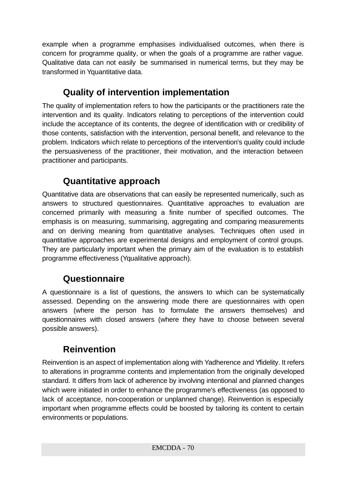example when a programme emphasises individualised outcomes, when there is concern for programme quality, or when the goals of a programme are rather vague. Qualitative data can not easily be summarised in numerical terms, but they may be transformed in Yquantitative data.

# **Quality of intervention implementation**

The quality of implementation refers to how the participants or the practitioners rate the intervention and its quality. Indicators relating to perceptions of the intervention could include the acceptance of its contents, the degree of identification with or credibility of those contents, satisfaction with the intervention, personal benefit, and relevance to the problem. Indicators which relate to perceptions of the intervention's quality could include the persuasiveness of the practitioner, their motivation, and the interaction between practitioner and participants.

# **Quantitative approach**

Quantitative data are observations that can easily be represented numerically, such as answers to structured questionnaires. Quantitative approaches to evaluation are concerned primarily with measuring a finite number of specified outcomes. The emphasis is on measuring, summarising, aggregating and comparing measurements and on deriving meaning from quantitative analyses. Techniques often used in quantitative approaches are experimental designs and employment of control groups. They are particularly important when the primary aim of the evaluation is to establish programme effectiveness (Yqualitative approach).

# **Questionnaire**

A questionnaire is a list of questions, the answers to which can be systematically assessed. Depending on the answering mode there are questionnaires with open answers (where the person has to formulate the answers themselves) and questionnaires with closed answers (where they have to choose between several possible answers).

# **Reinvention**

Reinvention is an aspect of implementation along with Yadherence and Yfidelity. It refers to alterations in programme contents and implementation from the originally developed standard. It differs from lack of adherence by involving intentional and planned changes which were initiated in order to enhance the programme's effectiveness (as opposed to lack of acceptance, non-cooperation or unplanned change). Reinvention is especially important when programme effects could be boosted by tailoring its content to certain environments or populations.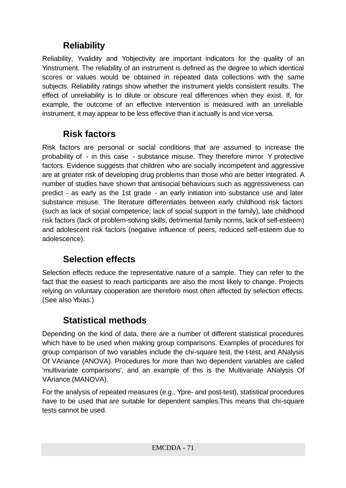# **Reliability**

Reliability, Yvalidity and Yobjectivity are important indicators for the quality of an Yinstrument. The reliability of an instrument is defined as the degree to which identical scores or values would be obtained in repeated data collections with the same subjects. Reliability ratings show whether the instrument yields consistent results. The effect of unreliability is to dilute or obscure real differences when they exist. If, for example, the outcome of an effective intervention is measured with an unreliable instrument, it may appear to be less effective than it actually is and vice versa.

# **Risk factors**

Risk factors are personal or social conditions that are assumed to increase the probability of - in this case - substance misuse. They therefore mirror Y protective factors. Evidence suggests that children who are socially incompetent and aggressive are at greater risk of developing drug problems than those who are better integrated. A number of studies have shown that antisocial behaviours such as aggressiveness can predict - as early as the 1st grade - an early initiation into substance use and later substance misuse. The literature differentiates between early childhood risk factors (such as lack of social competence, lack of social support in the family), late childhood risk factors (lack of problem-solving skills, detrimental family norms, lack of self-esteem) and adolescent risk factors (negative influence of peers, reduced self-esteem due to adolescence).

# **Selection effects**

Selection effects reduce the representative nature of a sample. They can refer to the fact that the easiest to reach participants are also the most likely to change. Projects relying on voluntary cooperation are therefore most often affected by selection effects. (See also Ybias.)

# **Statistical methods**

Depending on the kind of data, there are a number of different statistical procedures which have to be used when making group comparisons. Examples of procedures for group comparison of two variables include the chi-square test, the t-test, and ANalysis Of VAriance (ANOVA). Procedures for more than two dependent variables are called 'multivariate comparisons', and an example of this is the Multivariate ANalysis Of VAriance (MANOVA).

For the analysis of repeated measures (e.g., Ypre- and post-test), statistical procedures have to be used that are suitable for dependent samples.This means that chi-square tests cannot be used.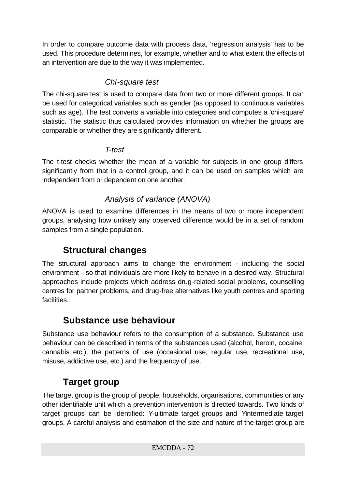In order to compare outcome data with process data, 'regression analysis' has to be used. This procedure determines, for example, whether and to what extent the effects of an intervention are due to the way it was implemented.

### *Chi-square test*

The chi-square test is used to compare data from two or more different groups. It can be used for categorical variables such as gender (as opposed to continuous variables such as age). The test converts a variable into categories and computes a 'chi-square' statistic. The statistic thus calculated provides information on whether the groups are comparable or whether they are significantly different.

### *T-test*

The t-test checks whether the mean of a variable for subjects in one group differs significantly from that in a control group, and it can be used on samples which are independent from or dependent on one another.

### *Analysis of variance (ANOVA)*

ANOVA is used to examine differences in the means of two or more independent groups, analysing how unlikely any observed difference would be in a set of random samples from a single population.

## **Structural changes**

The structural approach aims to change the environment - including the social environment - so that individuals are more likely to behave in a desired way. Structural approaches include projects which address drug-related social problems, counselling centres for partner problems, and drug-free alternatives like youth centres and sporting facilities.

## **Substance use behaviour**

Substance use behaviour refers to the consumption of a substance. Substance use behaviour can be described in terms of the substances used (alcohol, heroin, cocaine, cannabis etc.), the patterns of use (occasional use, regular use, recreational use, misuse, addictive use, etc.) and the frequency of use.

## **Target group**

The target group is the group of people, households, organisations, communities or any other identifiable unit which a prevention intervention is directed towards. Two kinds of target groups can be identified: Y-ultimate target groups and Yintermediate target groups. A careful analysis and estimation of the size and nature of the target group are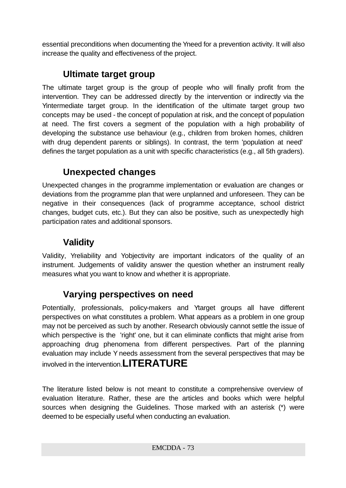essential preconditions when documenting the Yneed for a prevention activity. It will also increase the quality and effectiveness of the project.

## **Ultimate target group**

The ultimate target group is the group of people who will finally profit from the intervention. They can be addressed directly by the intervention or indirectly via the Yintermediate target group. In the identification of the ultimate target group two concepts may be used - the concept of population at risk, and the concept of population at need. The first covers a segment of the population with a high probability of developing the substance use behaviour (e.g., children from broken homes, children with drug dependent parents or siblings). In contrast, the term 'population at need' defines the target population as a unit with specific characteristics (e.g., all 5th graders).

## **Unexpected changes**

Unexpected changes in the programme implementation or evaluation are changes or deviations from the programme plan that were unplanned and unforeseen. They can be negative in their consequences (lack of programme acceptance, school district changes, budget cuts, etc.). But they can also be positive, such as unexpectedly high participation rates and additional sponsors.

## **Validity**

Validity, Yreliability and Yobjectivity are important indicators of the quality of an instrument. Judgements of validity answer the question whether an instrument really measures what you want to know and whether it is appropriate.

## **Varying perspectives on need**

Potentially, professionals, policy-makers and Ytarget groups all have different perspectives on what constitutes a problem. What appears as a problem in one group may not be perceived as such by another. Research obviously cannot settle the issue of which perspective is the 'right' one, but it can eliminate conflicts that might arise from approaching drug phenomena from different perspectives. Part of the planning evaluation may include Y needs assessment from the several perspectives that may be involved in the intervention.**LITERATURE**

The literature listed below is not meant to constitute a comprehensive overview of evaluation literature. Rather, these are the articles and books which were helpful sources when designing the Guidelines. Those marked with an asterisk (\*) were deemed to be especially useful when conducting an evaluation.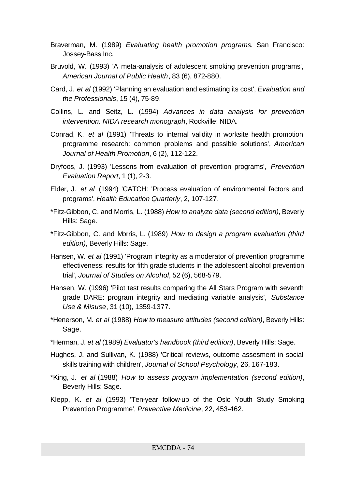- Braverman, M. (1989) *Evaluating health promotion programs*. San Francisco: Jossey-Bass Inc.
- Bruvold, W. (1993) 'A meta-analysis of adolescent smoking prevention programs', *American Journal of Public Health*, 83 (6), 872-880.
- Card, J. *et al* (1992) 'Planning an evaluation and estimating its cost', *Evaluation and the Professionals*, 15 (4), 75-89.
- Collins, L. and Seitz, L. (1994) *Advances in data analysis for prevention intervention. NIDA research monograph*, Rockville: NIDA.
- Conrad, K. *et al* (1991) 'Threats to internal validity in worksite health promotion programme research: common problems and possible solutions', *American Journal of Health Promotion*, 6 (2), 112-122.
- Dryfoos, J. (1993) 'Lessons from evaluation of prevention programs', *Prevention Evaluation Report*, 1 (1), 2-3.
- Elder, J. *et al* (1994) 'CATCH: 'Process evaluation of environmental factors and programs', *Health Education Quarterly*, 2, 107-127.
- \*Fitz-Gibbon, C. and Morris, L. (1988) *How to analyze data (second edition)*, Beverly Hills: Sage.
- \*Fitz-Gibbon, C. and Morris, L. (1989) *How to design a program evaluation (third edition)*, Beverly Hills: Sage.
- Hansen, W. *et al* (1991) 'Program integrity as a moderator of prevention programme effectiveness: results for fifth grade students in the adolescent alcohol prevention trial', *Journal of Studies on Alcohol*, 52 (6), 568-579.
- Hansen, W. (1996) 'Pilot test results comparing the All Stars Program with seventh grade DARE: program integrity and mediating variable analysis', *Substance Use & Misuse*, 31 (10), 1359-1377.
- \*Henerson, M. *et al* (1988) *How to measure attitudes (second edition)*, Beverly Hills: Sage.
- \*Herman, J. *et al* (1989) *Evaluator's handbook (third edition)*, Beverly Hills: Sage.
- Hughes, J. and Sullivan, K. (1988) 'Critical reviews, outcome assesment in social skills training with children', *Journal of School Psychology*, 26, 167-183.
- \*King, J. *et al* (1988) *How to assess program implementation (second edition)*, Beverly Hills: Sage.
- Klepp, K. *et al* (1993) 'Ten-year follow-up of the Oslo Youth Study Smoking Prevention Programme', *Preventive Medicine*, 22, 453-462.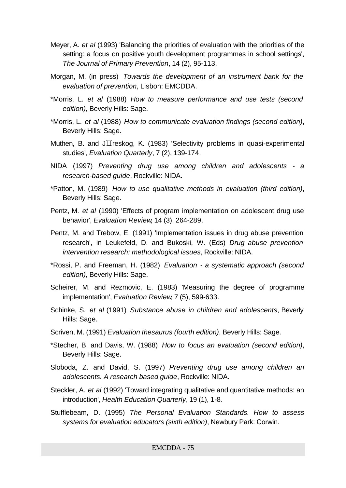- Meyer, A. *et al* (1993) 'Balancing the priorities of evaluation with the priorities of the setting: a focus on positive youth development programmes in school settings', *The Journal of Primary Prevention*, 14 (2), 95-113.
- Morgan, M. (in press) *Towards the development of an instrument bank for the evaluation of prevention*, Lisbon: EMCDDA.
- \*Morris, L. *et al* (1988) *How to measure performance and use tests (second edition)*, Beverly Hills: Sage.
- \*Morris, L. *et al* (1988) *How to communicate evaluation findings (second edition)*, Beverly Hills: Sage.
- Muthen, B. and J $\overline{L}$ reskog, K. (1983) 'Selectivity problems in quasi-experimental studies', *Evaluation Quarterly*, 7 (2), 139-174.
- NIDA (1997) *Preventing drug use among children and adolescents a research-based guide*, Rockville: NIDA.
- \*Patton, M. (1989) *How to use qualitative methods in evaluation (third edition)*, Beverly Hills: Sage.
- Pentz, M. *et al* (1990) 'Effects of program implementation on adolescent drug use behavior', *Evaluation Review*, 14 (3), 264-289.
- Pentz, M. and Trebow, E. (1991) 'Implementation issues in drug abuse prevention research', in Leukefeld, D. and Bukoski, W. (Eds) *Drug abuse prevention intervention research: methodological issues*, Rockville: NIDA.
- \*Rossi, P. and Freeman, H. (1982) *Evaluation a systematic approach (second edition)*, Beverly Hills: Sage.
- Scheirer, M. and Rezmovic, E. (1983) 'Measuring the degree of programme implementation', *Evaluation Review*, 7 (5), 599-633.
- Schinke, S. *et al* (1991) *Substance abuse in children and adolescents*, Beverly Hills: Sage.
- Scriven, M. (1991) *Evaluation thesaurus (fourth edition)*, Beverly Hills: Sage.
- \*Stecher, B. and Davis, W. (1988) *How to focus an evaluation (second edition)*, Beverly Hills: Sage.
- Sloboda, Z. and David, S. (1997) *Preventing drug use among children an adolescents. A research based guide*, Rockville: NIDA.
- Steckler, A. *et al* (1992) 'Toward integrating qualitative and quantitative methods: an introduction', *Health Education Quarterly*, 19 (1), 1-8.
- Stufflebeam, D. (1995) *The Personal Evaluation Standards. How to assess systems for evaluation educators (sixth edition)*, Newbury Park: Corwin.